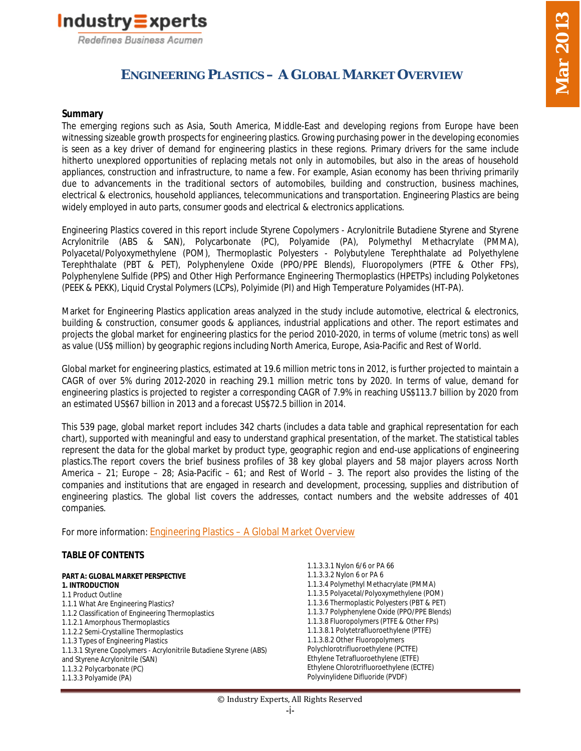

Redefines Business Acumen

### **ENGINEERING PLASTICS – A GLOBAL MARKET OVERVIEW**

#### **Summary**

The emerging regions such as Asia, South America, Middle-East and developing regions from Europe have been witnessing sizeable growth prospects for engineering plastics. Growing purchasing power in the developing economies is seen as a key driver of demand for engineering plastics in these regions. Primary drivers for the same include hitherto unexplored opportunities of replacing metals not only in automobiles, but also in the areas of household appliances, construction and infrastructure, to name a few. For example, Asian economy has been thriving primarily due to advancements in the traditional sectors of automobiles, building and construction, business machines, electrical & electronics, household appliances, telecommunications and transportation. Engineering Plastics are being widely employed in auto parts, consumer goods and electrical & electronics applications.

Engineering Plastics covered in this report include Styrene Copolymers - Acrylonitrile Butadiene Styrene and Styrene Acrylonitrile (ABS & SAN), Polycarbonate (PC), Polyamide (PA), Polymethyl Methacrylate (PMMA), Polyacetal/Polyoxymethylene (POM), Thermoplastic Polyesters - Polybutylene Terephthalate ad Polyethylene Terephthalate (PBT & PET), Polyphenylene Oxide (PPO/PPE Blends), Fluoropolymers (PTFE & Other FPs), Polyphenylene Sulfide (PPS) and Other High Performance Engineering Thermoplastics (HPETPs) including Polyketones (PEEK & PEKK), Liquid Crystal Polymers (LCPs), Polyimide (PI) and High Temperature Polyamides (HT-PA).

Market for Engineering Plastics application areas analyzed in the study include automotive, electrical & electronics, building & construction, consumer goods & appliances, industrial applications and other. The report estimates and projects the global market for engineering plastics for the period 2010-2020, in terms of volume (metric tons) as well as value (US\$ million) by geographic regions including North America, Europe, Asia-Pacific and Rest of World.

Global market for engineering plastics, estimated at 19.6 million metric tons in 2012, is further projected to maintain a CAGR of over 5% during 2012-2020 in reaching 29.1 million metric tons by 2020. In terms of value, demand for engineering plastics is projected to register a corresponding CAGR of 7.9% in reaching US\$113.7 billion by 2020 from an estimated US\$67 billion in 2013 and a forecast US\$72.5 billion in 2014.

This 539 page, global market report includes 342 charts (includes a data table and graphical representation for each chart), supported with meaningful and easy to understand graphical presentation, of the market. The statistical tables represent the data for the global market by product type, geographic region and end-use applications of engineering plastics.The report covers the brief business profiles of 38 key global players and 58 major players across North America – 21; Europe – 28; Asia-Pacific – 61; and Rest of World – 3. The report also provides the listing of the companies and institutions that are engaged in research and development, processing, supplies and distribution of engineering plastics. The global list covers the addresses, contact numbers and the website addresses of 401 companies.

For more information: **Engineering Plastics - A Global Market Overview** 

#### **TABLE OF CONTENTS**

|                                                                    | 1.1.3.3.1 Nylon 6/6 or PA 66                 |
|--------------------------------------------------------------------|----------------------------------------------|
| <b>PART A: GLOBAL MARKET PERSPECTIVE</b>                           | 1.1.3.3.2 Nylon 6 or PA 6                    |
| 1. INTRODUCTION                                                    | 1.1.3.4 Polymethyl Methacrylate (PMMA)       |
| 1.1 Product Outline                                                | 1.1.3.5 Polyacetal/Polyoxymethylene (POM)    |
| 1.1.1 What Are Engineering Plastics?                               | 1.1.3.6 Thermoplastic Polyesters (PBT & PET) |
| 1.1.2 Classification of Engineering Thermoplastics                 | 1.1.3.7 Polyphenylene Oxide (PPO/PPE Blends) |
| 1.1.2.1 Amorphous Thermoplastics                                   | 1.1.3.8 Fluoropolymers (PTFE & Other FPs)    |
| 1.1.2.2 Semi-Crystalline Thermoplastics                            | 1.1.3.8.1 Polytetrafluoroethylene (PTFE)     |
| 1.1.3 Types of Engineering Plastics                                | 1.1.3.8.2 Other Fluoropolymers               |
| 1.1.3.1 Styrene Copolymers - Acrylonitrile Butadiene Styrene (ABS) | Polychlorotrifluoroethylene (PCTFE)          |
| and Styrene Acrylonitrile (SAN)                                    | Ethylene Tetrafluoroethylene (ETFE)          |
| 1.1.3.2 Polycarbonate (PC)                                         | Ethylene Chlorotrifluoroethylene (ECTFE)     |
| 1.1.3.3 Polyamide (PA)                                             | Polyvinylidene Difluoride (PVDF)             |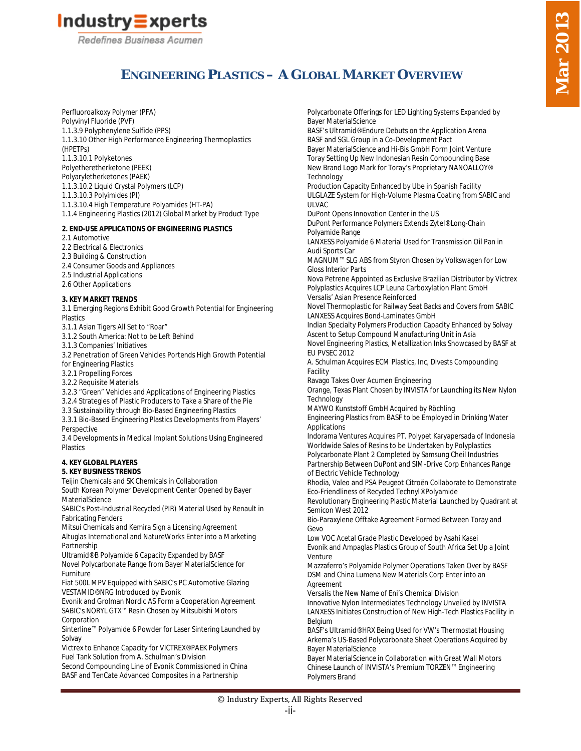

Redefines Business Acumen

### **ENGINEERING PLASTICS – A GLOBAL MARKET OVERVIEW**

Perfluoroalkoxy Polymer (PFA) Polyvinyl Fluoride (PVF) 1.1.3.9 Polyphenylene Sulfide (PPS) 1.1.3.10 Other High Performance Engineering Thermoplastics (HPETPs) 1.1.3.10.1 Polyketones Polyetheretherketone (PEEK) Polyaryletherketones (PAEK) 1.1.3.10.2 Liquid Crystal Polymers (LCP) 1.1.3.10.3 Polyimides (PI) 1.1.3.10.4 High Temperature Polyamides (HT-PA) 1.1.4 Engineering Plastics (2012) Global Market by Product Type **2. END-USE APPLICATIONS OF ENGINEERING PLASTICS**

- 2.1 Automotive
- 2.2 Electrical & Electronics
- 2.3 Building & Construction
- 2.4 Consumer Goods and Appliances
- 2.5 Industrial Applications
- 2.6 Other Applications

#### **3. KEY MARKET TRENDS**

3.1 Emerging Regions Exhibit Good Growth Potential for Engineering Plastics

3.1.1 Asian Tigers All Set to "Roar"

3.1.2 South America: Not to be Left Behind

3.1.3 Companies' Initiatives

3.2 Penetration of Green Vehicles Portends High Growth Potential for Engineering Plastics

3.2.1 Propelling Forces

3.2.2 Requisite Materials

3.2.3 "Green" Vehicles and Applications of Engineering Plastics

3.2.4 Strategies of Plastic Producers to Take a Share of the Pie

3.3 Sustainability through Bio-Based Engineering Plastics

3.3.1 Bio-Based Engineering Plastics Developments from Players' Perspective

3.4 Developments in Medical Implant Solutions Using Engineered Plastics

#### **4. KEY GLOBAL PLAYERS**

#### **5. KEY BUSINESS TRENDS**

Teijin Chemicals and SK Chemicals in Collaboration South Korean Polymer Development Center Opened by Bayer MaterialScience

SABIC's Post-Industrial Recycled (PIR) Material Used by Renault in Fabricating Fenders

Mitsui Chemicals and Kemira Sign a Licensing Agreement

Altuglas International and NatureWorks Enter into a Marketing Partnership

Ultramid® B Polyamide 6 Capacity Expanded by BASF Novel Polycarbonate Range from Bayer MaterialScience for Furniture

Fiat 500L MPV Equipped with SABIC's PC Automotive Glazing VESTAMID® NRG Introduced by Evonik

Evonik and Grolman Nordic AS Form a Cooperation Agreement SABIC's NORYL GTX™ Resin Chosen by Mitsubishi Motors Corporation

Sinterline™ Polyamide 6 Powder for Laser Sintering Launched by Solvay

Victrex to Enhance Capacity for VICTREX® PAEK Polymers Fuel Tank Solution from A. Schulman's Division

Second Compounding Line of Evonik Commissioned in China BASF and TenCate Advanced Composites in a Partnership

Polycarbonate Offerings for LED Lighting Systems Expanded by Bayer MaterialScience

BASF's Ultramid® Endure Debuts on the Application Arena BASF and SGL Group in a Co-Development Pact Bayer MaterialScience and Hi-Bis GmbH Form Joint Venture

Toray Setting Up New Indonesian Resin Compounding Base New Brand Logo Mark for Toray's Proprietary NANOALLOY® **Technology** 

Production Capacity Enhanced by Ube in Spanish Facility ULGLAZE System for High-Volume Plasma Coating from SABIC and ULVAC

DuPont Opens Innovation Center in the US

DuPont Performance Polymers Extends Zytel® Long-Chain Polyamide Range

LANXESS Polyamide 6 Material Used for Transmission Oil Pan in Audi Sports Car

MAGNUM™ SLG ABS from Styron Chosen by Volkswagen for Low Gloss Interior Parts

Nova Petrene Appointed as Exclusive Brazilian Distributor by Victrex Polyplastics Acquires LCP Leuna Carboxylation Plant GmbH Versalis' Asian Presence Reinforced

Novel Thermoplastic for Railway Seat Backs and Covers from SABIC LANXESS Acquires Bond-Laminates GmbH

Indian Specialty Polymers Production Capacity Enhanced by Solvay Ascent to Setup Compound Manufacturing Unit in Asia

Novel Engineering Plastics, Metallization Inks Showcased by BASF at EU PVSEC 2012

A. Schulman Acquires ECM Plastics, Inc, Divests Compounding Facility

Ravago Takes Over Acumen Engineering

Orange, Texas Plant Chosen by INVISTA for Launching its New Nylon **Technology** 

MAYWO Kunststoff GmbH Acquired by Röchling

Engineering Plastics from BASF to be Employed in Drinking Water Applications

Indorama Ventures Acquires PT. Polypet Karyapersada of Indonesia Worldwide Sales of Resins to be Undertaken by Polyplastics Polycarbonate Plant 2 Completed by Samsung Cheil Industries

Partnership Between DuPont and SIM-Drive Corp Enhances Range of Electric Vehicle Technology

Rhodia, Valeo and PSA Peugeot Citroën Collaborate to Demonstrate Eco-Friendliness of Recycled Technyl® Polyamide

Revolutionary Engineering Plastic Material Launched by Quadrant at Semicon West 2012

Bio-Paraxylene Offtake Agreement Formed Between Toray and Gevo

Low VOC Acetal Grade Plastic Developed by Asahi Kasei Evonik and Ampaglas Plastics Group of South Africa Set Up a Joint Venture

Mazzaferro's Polyamide Polymer Operations Taken Over by BASF DSM and China Lumena New Materials Corp Enter into an Agreement

Versalis the New Name of Eni's Chemical Division Innovative Nylon Intermediates Technology Unveiled by INVISTA LANXESS Initiates Construction of New High-Tech Plastics Facility in Belgium

BASF's Ultramid® HRX Being Used for VW's Thermostat Housing Arkema's US-Based Polycarbonate Sheet Operations Acquired by Bayer MaterialScience

Bayer MaterialScience in Collaboration with Great Wall Motors Chinese Launch of INVISTA's Premium TORZEN™ Engineering Polymers Brand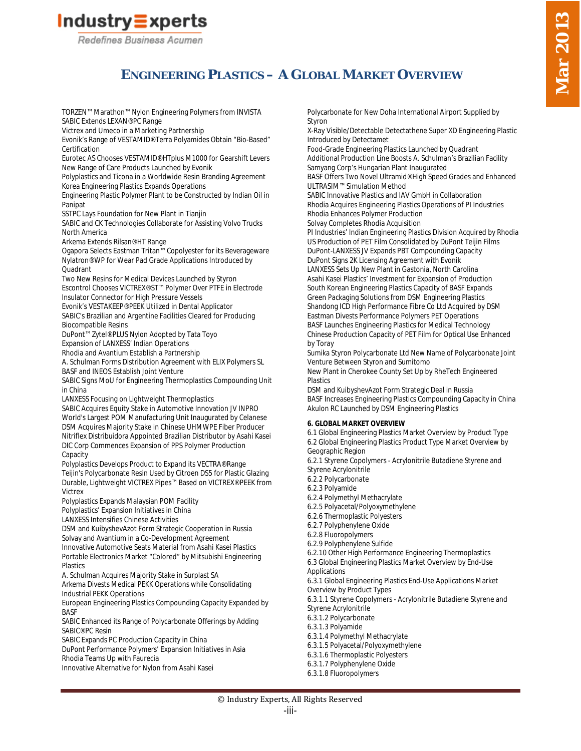# Industry Experts

Redefines Business Acumen

## **ENGINEERING PLASTICS – A GLOBAL MARKET OVERVIEW**

TORZEN™ Marathon™ Nylon Engineering Polymers from INVISTA SABIC Extends LEXAN® PC Range

Victrex and Umeco in a Marketing Partnership

Evonik's Range of VESTAMID® Terra Polyamides Obtain "Bio-Based" Certification

Eurotec AS Chooses VESTAMID® HTplus M1000 for Gearshift Levers New Range of Care Products Launched by Evonik

Polyplastics and Ticona in a Worldwide Resin Branding Agreement Korea Engineering Plastics Expands Operations

Engineering Plastic Polymer Plant to be Constructed by Indian Oil in Panipat

SSTPC Lays Foundation for New Plant in Tianjin

SABIC and CK Technologies Collaborate for Assisting Volvo Trucks North America

Arkema Extends Rilsan® HT Range

Ogapora Selects Eastman Tritan™ Copolyester for its Beverageware Nylatron® WP for Wear Pad Grade Applications Introduced by Quadrant

Two New Resins for Medical Devices Launched by Styron

Escontrol Chooses VICTREX® ST™ Polymer Over PTFE in Electrode Insulator Connector for High Pressure Vessels

Evonik's VESTAKEEP® PEEK Utilized in Dental Applicator SABIC's Brazilian and Argentine Facilities Cleared for Producing Biocompatible Resins

DuPont™ Zytel® PLUS Nylon Adopted by Tata Toyo Expansion of LANXESS' Indian Operations

Rhodia and Avantium Establish a Partnership

A. Schulman Forms Distribution Agreement with ELIX Polymers SL BASF and INEOS Establish Joint Venture

SABIC Signs MoU for Engineering Thermoplastics Compounding Unit in China

LANXESS Focusing on Lightweight Thermoplastics

SABIC Acquires Equity Stake in Automotive Innovation JV INPRO World's Largest POM Manufacturing Unit Inaugurated by Celanese DSM Acquires Majority Stake in Chinese UHMWPE Fiber Producer Nitriflex Distribuidora Appointed Brazilian Distributor by Asahi Kasei DIC Corp Commences Expansion of PPS Polymer Production Capacity

Polyplastics Develops Product to Expand its VECTRA® Range Teijin's Polycarbonate Resin Used by Citroen DS5 for Plastic Glazing Durable, Lightweight VICTREX Pipes™ Based on VICTREX® PEEK from Victrex

Polyplastics Expands Malaysian POM Facility

Polyplastics' Expansion Initiatives in China

LANXESS Intensifies Chinese Activities

DSM and KuibyshevAzot Form Strategic Cooperation in Russia Solvay and Avantium in a Co-Development Agreement Innovative Automotive Seats Material from Asahi Kasei Plastics Portable Electronics Market "Colored" by Mitsubishi Engineering

Plastics A. Schulman Acquires Majority Stake in Surplast SA

Arkema Divests Medical PEKK Operations while Consolidating Industrial PEKK Operations

European Engineering Plastics Compounding Capacity Expanded by BASF

SABIC Enhanced its Range of Polycarbonate Offerings by Adding SABIC® PC Resin

SABIC Expands PC Production Capacity in China

DuPont Performance Polymers' Expansion Initiatives in Asia

Rhodia Teams Up with Faurecia

Innovative Alternative for Nylon from Asahi Kasei

Polycarbonate for New Doha International Airport Supplied by Styron

X-Ray Visible/Detectable Detectathene Super XD Engineering Plastic Introduced by Detectamet

Food-Grade Engineering Plastics Launched by Quadrant Additional Production Line Boosts A. Schulman's Brazilian Facility Samyang Corp's Hungarian Plant Inaugurated

BASF Offers Two Novel Ultramid® High Speed Grades and Enhanced ULTRASIM™ Simulation Method

SABIC Innovative Plastics and IAV GmbH in Collaboration Rhodia Acquires Engineering Plastics Operations of PI Industries Rhodia Enhances Polymer Production

Solvay Completes Rhodia Acquisition

PI Industries' Indian Engineering Plastics Division Acquired by Rhodia US Production of PET Film Consolidated by DuPont Teijin Films DuPont-LANXESS JV Expands PBT Compounding Capacity

DuPont Signs 2K Licensing Agreement with Evonik

LANXESS Sets Up New Plant in Gastonia, North Carolina Asahi Kasei Plastics' Investment for Expansion of Production South Korean Engineering Plastics Capacity of BASF Expands Green Packaging Solutions from DSM Engineering Plastics Shandong ICD High Performance Fibre Co Ltd Acquired by DSM Eastman Divests Performance Polymers PET Operations BASF Launches Engineering Plastics for Medical Technology

Chinese Production Capacity of PET Film for Optical Use Enhanced by Toray

Sumika Styron Polycarbonate Ltd New Name of Polycarbonate Joint Venture Between Styron and Sumitomo

New Plant in Cherokee County Set Up by RheTech Engineered Plastics

DSM and KuibyshevAzot Form Strategic Deal in Russia BASF Increases Engineering Plastics Compounding Capacity in China Akulon RC Launched by DSM Engineering Plastics

#### **6. GLOBAL MARKET OVERVIEW**

6.1 Global Engineering Plastics Market Overview by Product Type 6.2 Global Engineering Plastics Product Type Market Overview by Geographic Region

6.2.1 Styrene Copolymers - Acrylonitrile Butadiene Styrene and Styrene Acrylonitrile

6.2.2 Polycarbonate

6.2.3 Polyamide

6.2.4 Polymethyl Methacrylate

6.2.5 Polyacetal/Polyoxymethylene

6.2.6 Thermoplastic Polyesters

6.2.7 Polyphenylene Oxide

6.2.8 Fluoropolymers

6.2.9 Polyphenylene Sulfide

6.2.10 Other High Performance Engineering Thermoplastics

6.3 Global Engineering Plastics Market Overview by End-Use **Applications** 

6.3.1 Global Engineering Plastics End-Use Applications Market Overview by Product Types

6.3.1.1 Styrene Copolymers - Acrylonitrile Butadiene Styrene and Styrene Acrylonitrile

6.3.1.2 Polycarbonate

- 6.3.1.3 Polyamide
- 6.3.1.4 Polymethyl Methacrylate
- 6.3.1.5 Polyacetal/Polyoxymethylene
- 6.3.1.6 Thermoplastic Polyesters
- 6.3.1.7 Polyphenylene Oxide
- 6.3.1.8 Fluoropolymers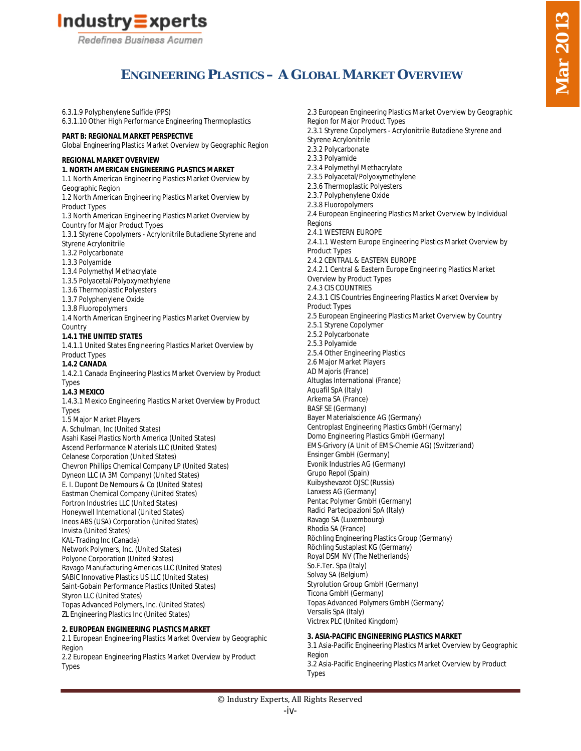Redefines Business Acumen

## **ENGINEERING PLASTICS – A GLOBAL MARKET OVERVIEW**

6.3.1.9 Polyphenylene Sulfide (PPS) 6.3.1.10 Other High Performance Engineering Thermoplastics **PART B: REGIONAL MARKET PERSPECTIVE** Global Engineering Plastics Market Overview by Geographic Region **REGIONAL MARKET OVERVIEW 1. NORTH AMERICAN ENGINEERING PLASTICS MARKET** 1.1 North American Engineering Plastics Market Overview by Geographic Region 1.2 North American Engineering Plastics Market Overview by Product Types 1.3 North American Engineering Plastics Market Overview by Country for Major Product Types 1.3.1 Styrene Copolymers - Acrylonitrile Butadiene Styrene and Styrene Acrylonitrile 1.3.2 Polycarbonate 1.3.3 Polyamide 1.3.4 Polymethyl Methacrylate 1.3.5 Polyacetal/Polyoxymethylene 1.3.6 Thermoplastic Polyesters 1.3.7 Polyphenylene Oxide 1.3.8 Fluoropolymers 1.4 North American Engineering Plastics Market Overview by Country **1.4.1 THE UNITED STATES** 1.4.1.1 United States Engineering Plastics Market Overview by Product Types **1.4.2 CANADA** 1.4.2.1 Canada Engineering Plastics Market Overview by Product Types **1.4.3 MEXICO** 1.4.3.1 Mexico Engineering Plastics Market Overview by Product Types 1.5 Major Market Players A. Schulman, Inc (United States) Asahi Kasei Plastics North America (United States) Ascend Performance Materials LLC (United States) Celanese Corporation (United States) Chevron Phillips Chemical Company LP (United States) Dyneon LLC (A 3M Company) (United States) E. I. Dupont De Nemours & Co (United States) Eastman Chemical Company (United States) Fortron Industries LLC (United States) Honeywell International (United States) Ineos ABS (USA) Corporation (United States) Invista (United States) KAL-Trading Inc (Canada) Network Polymers, Inc. (United States) Polyone Corporation (United States) Ravago Manufacturing Americas LLC (United States) SABIC Innovative Plastics US LLC (United States) Saint-Gobain Performance Plastics (United States) Styron LLC (United States) Topas Advanced Polymers, Inc. (United States) ZL Engineering Plastics Inc (United States) **2. EUROPEAN ENGINEERING PLASTICS MARKET** 2.1 European Engineering Plastics Market Overview by Geographic

2.2 European Engineering Plastics Market Overview by Product

Region

Types

2.3 European Engineering Plastics Market Overview by Geographic Region for Major Product Types 2.3.1 Styrene Copolymers - Acrylonitrile Butadiene Styrene and Styrene Acrylonitrile 2.3.2 Polycarbonate 2.3.3 Polyamide 2.3.4 Polymethyl Methacrylate 2.3.5 Polyacetal/Polyoxymethylene 2.3.6 Thermoplastic Polyesters 2.3.7 Polyphenylene Oxide 2.3.8 Fluoropolymers 2.4 European Engineering Plastics Market Overview by Individual Regions 2.4.1 WESTERN EUROPE 2.4.1.1 Western Europe Engineering Plastics Market Overview by Product Types 2.4.2 CENTRAL & EASTERN EUROPE 2.4.2.1 Central & Eastern Europe Engineering Plastics Market Overview by Product Types 2.4.3 CIS COUNTRIES 2.4.3.1 CIS Countries Engineering Plastics Market Overview by Product Types 2.5 European Engineering Plastics Market Overview by Country 2.5.1 Styrene Copolymer 2.5.2 Polycarbonate 2.5.3 Polyamide 2.5.4 Other Engineering Plastics 2.6 Major Market Players AD Majoris (France) Altuglas International (France) Aquafil SpA (Italy) Arkema SA (France) BASF SE (Germany) Bayer Materialscience AG (Germany) Centroplast Engineering Plastics GmbH (Germany) Domo Engineering Plastics GmbH (Germany) EMS-Grivory (A Unit of EMS-Chemie AG) (Switzerland) Ensinger GmbH (Germany) Evonik Industries AG (Germany) Grupo Repol (Spain) Kuibyshevazot OJSC (Russia) Lanxess AG (Germany) Pentac Polymer GmbH (Germany) Radici Partecipazioni SpA (Italy) Ravago SA (Luxembourg) Rhodia SA (France) Röchling Engineering Plastics Group (Germany) Röchling Sustaplast KG (Germany) Royal DSM NV (The Netherlands) So.F.Ter. Spa (Italy) Solvay SA (Belgium) Styrolution Group GmbH (Germany) Ticona GmbH (Germany) Topas Advanced Polymers GmbH (Germany) Versalis SpA (Italy) Victrex PLC (United Kingdom)

#### **3. ASIA-PACIFIC ENGINEERING PLASTICS MARKET**

3.1 Asia-Pacific Engineering Plastics Market Overview by Geographic Region 3.2 Asia-Pacific Engineering Plastics Market Overview by Product Types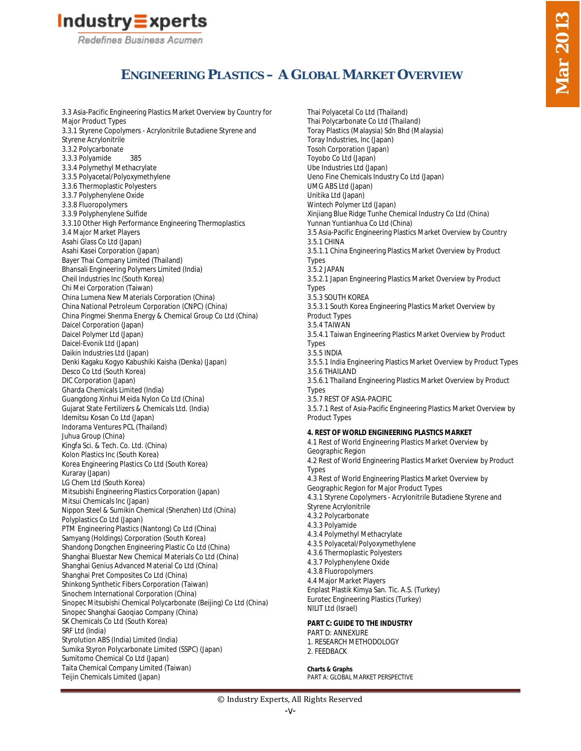

Redefines Business Acumen

## **ENGINEERING PLASTICS – A GLOBAL MARKET OVERVIEW**

3.3 Asia-Pacific Engineering Plastics Market Overview by Country for Major Product Types 3.3.1 Styrene Copolymers - Acrylonitrile Butadiene Styrene and Styrene Acrylonitrile 3.3.2 Polycarbonate 3.3.3 Polyamide 385 3.3.4 Polymethyl Methacrylate 3.3.5 Polyacetal/Polyoxymethylene 3.3.6 Thermoplastic Polyesters 3.3.7 Polyphenylene Oxide 3.3.8 Fluoropolymers 3.3.9 Polyphenylene Sulfide 3.3.10 Other High Performance Engineering Thermoplastics 3.4 Major Market Players Asahi Glass Co Ltd (Japan) Asahi Kasei Corporation (Japan) Bayer Thai Company Limited (Thailand) Bhansali Engineering Polymers Limited (India) Cheil Industries Inc (South Korea) Chi Mei Corporation (Taiwan) China Lumena New Materials Corporation (China) China National Petroleum Corporation (CNPC) (China) China Pingmei Shenma Energy & Chemical Group Co Ltd (China) Daicel Corporation (Japan) Daicel Polymer Ltd (Japan) Daicel-Evonik Ltd (Japan) Daikin Industries Ltd (Japan) Denki Kagaku Kogyo Kabushiki Kaisha (Denka) (Japan) Desco Co Ltd (South Korea) DIC Corporation (Japan) Gharda Chemicals Limited (India) Guangdong Xinhui Meida Nylon Co Ltd (China) Gujarat State Fertilizers & Chemicals Ltd. (India) Idemitsu Kosan Co Ltd (Japan) Indorama Ventures PCL (Thailand) Juhua Group (China) Kingfa Sci. & Tech. Co. Ltd. (China) Kolon Plastics Inc (South Korea) Korea Engineering Plastics Co Ltd (South Korea) Kuraray (Japan) LG Chem Ltd (South Korea) Mitsubishi Engineering Plastics Corporation (Japan) Mitsui Chemicals Inc (Japan) Nippon Steel & Sumikin Chemical (Shenzhen) Ltd (China) Polyplastics Co Ltd (Japan) PTM Engineering Plastics (Nantong) Co Ltd (China) Samyang (Holdings) Corporation (South Korea) Shandong Dongchen Engineering Plastic Co Ltd (China) Shanghai Bluestar New Chemical Materials Co Ltd (China) Shanghai Genius Advanced Material Co Ltd (China) Shanghai Pret Composites Co Ltd (China) Shinkong Synthetic Fibers Corporation (Taiwan) Sinochem International Corporation (China) Sinopec Mitsubishi Chemical Polycarbonate (Beijing) Co Ltd (China) Sinopec Shanghai Gaoqiao Company (China) SK Chemicals Co Ltd (South Korea) SRF Ltd (India) Styrolution ABS (India) Limited (India) Sumika Styron Polycarbonate Limited (SSPC) (Japan) Sumitomo Chemical Co Ltd (Japan) Taita Chemical Company Limited (Taiwan) Teijin Chemicals Limited (Japan)

Thai Polyacetal Co Ltd (Thailand) Thai Polycarbonate Co Ltd (Thailand) Toray Plastics (Malaysia) Sdn Bhd (Malaysia) Toray Industries, Inc (Japan) Tosoh Corporation (Japan) Toyobo Co Ltd (Japan) Ube Industries Ltd (Japan) Ueno Fine Chemicals Industry Co Ltd (Japan) UMG ABS Ltd (Japan) Unitika Ltd (Japan) Wintech Polymer Ltd (Japan) Xinjiang Blue Ridge Tunhe Chemical Industry Co Ltd (China) Yunnan Yuntianhua Co Ltd (China) 3.5 Asia-Pacific Engineering Plastics Market Overview by Country 3.5.1 CHINA 3.5.1.1 China Engineering Plastics Market Overview by Product Types 3.5.2 JAPAN 3.5.2.1 Japan Engineering Plastics Market Overview by Product Types 3.5.3 SOUTH KOREA 3.5.3.1 South Korea Engineering Plastics Market Overview by Product Types 3.5.4 TAIWAN 3.5.4.1 Taiwan Engineering Plastics Market Overview by Product Types 3.5.5 INDIA 3.5.5.1 India Engineering Plastics Market Overview by Product Types 3.5.6 THAILAND 3.5.6.1 Thailand Engineering Plastics Market Overview by Product Types 3.5.7 REST OF ASIA-PACIFIC 3.5.7.1 Rest of Asia-Pacific Engineering Plastics Market Overview by Product Types **4. REST OF WORLD ENGINEERING PLASTICS MARKET** 4.1 Rest of World Engineering Plastics Market Overview by Geographic Region 4.2 Rest of World Engineering Plastics Market Overview by Product Types 4.3 Rest of World Engineering Plastics Market Overview by Geographic Region for Major Product Types 4.3.1 Styrene Copolymers - Acrylonitrile Butadiene Styrene and Styrene Acrylonitrile 4.3.2 Polycarbonate 4.3.3 Polyamide 4.3.4 Polymethyl Methacrylate 4.3.5 Polyacetal/Polyoxymethylene 4.3.6 Thermoplastic Polyesters 4.3.7 Polyphenylene Oxide 4.3.8 Fluoropolymers 4.4 Major Market Players Enplast Plastik Kimya San. Tic. A.S. (Turkey) Eurotec Engineering Plastics (Turkey) NILIT Ltd (Israel) **PART C: GUIDE TO THE INDUSTRY** PART D: ANNEXURE

1. RESEARCH METHODOLOGY 2. FEEDBACK

**Charts & Graphs** PART A: GLOBAL MARKET PERSPECTIVE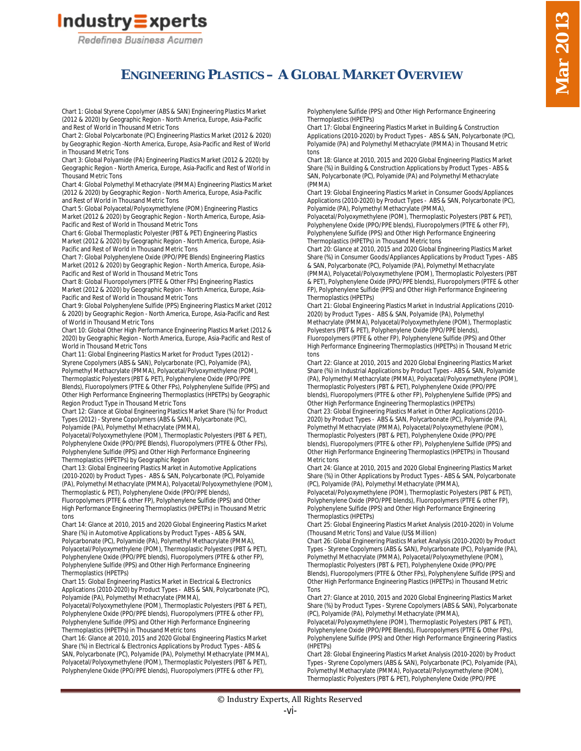Redefines Business Acumen

### **ENGINEERING PLASTICS – A GLOBAL MARKET OVERVIEW**

Chart 1: Global Styrene Copolymer (ABS & SAN) Engineering Plastics Market (2012 & 2020) by Geographic Region - North America, Europe, Asia-Pacific and Rest of World in Thousand Metric Tons

Chart 2: Global Polycarbonate (PC) Engineering Plastics Market (2012 & 2020) by Geographic Region -North America, Europe, Asia-Pacific and Rest of World in Thousand Metric Tons

Chart 3: Global Polyamide (PA) Engineering Plastics Market (2012 & 2020) by Geographic Region - North America, Europe, Asia-Pacific and Rest of World in Thousand Metric Tons

Chart 4: Global Polymethyl Methacrylate (PMMA) Engineering Plastics Market (2012 & 2020) by Geographic Region - North America, Europe, Asia-Pacific and Rest of World in Thousand Metric Tons

Chart 5: Global Polyacetal/Polyoxymethylene (POM) Engineering Plastics Market (2012 & 2020) by Geographic Region - North America, Europe, Asia-Pacific and Rest of World in Thousand Metric Tons

Chart 6: Global Thermoplastic Polyester (PBT & PET) Engineering Plastics Market (2012 & 2020) by Geographic Region - North America, Europe, Asia-Pacific and Rest of World in Thousand Metric Tons

Chart 7: Global Polyphenylene Oxide (PPO/PPE Blends) Engineering Plastics Market (2012 & 2020) by Geographic Region - North America, Europe, Asia-Pacific and Rest of World in Thousand Metric Tons

Chart 8: Global Fluoropolymers (PTFE & Other FPs) Engineering Plastics Market (2012 & 2020) by Geographic Region - North America, Europe, Asia-Pacific and Rest of World in Thousand Metric Tons

Chart 9: Global Polyphenylene Sulfide (PPS) Engineering Plastics Market (2012 & 2020) by Geographic Region - North America, Europe, Asia-Pacific and Rest of World in Thousand Metric Tons

Chart 10: Global Other High Performance Engineering Plastics Market (2012 & 2020) by Geographic Region - North America, Europe, Asia-Pacific and Rest of World in Thousand Metric Tons

Chart 11: Global Engineering Plastics Market for Product Types (2012) - Styrene Copolymers (ABS & SAN), Polycarbonate (PC), Polyamide (PA),

Polymethyl Methacrylate (PMMA), Polyacetal/Polyoxymethylene (POM), Thermoplastic Polyesters (PBT & PET), Polyphenylene Oxide (PPO/PPE Blends), Fluoropolymers (PTFE & Other FPs), Polyphenylene Sulfide (PPS) and Other High Performance Engineering Thermoplastics (HPETPs) by Geographic Region Product Type in Thousand Metric Tons

Chart 12: Glance at Global Engineering Plastics Market Share (%) for Product Types (2012) - Styrene Copolymers (ABS & SAN), Polycarbonate (PC), Polyamide (PA), Polymethyl Methacrylate (PMMA),

Polyacetal/Polyoxymethylene (POM), Thermoplastic Polyesters (PBT & PET), Polyphenylene Oxide (PPO/PPE Blends), Fluoropolymers (PTFE & Other FPs), Polyphenylene Sulfide (PPS) and Other High Performance Engineering Thermoplastics (HPETPs) by Geographic Region

Chart 13: Global Engineering Plastics Market in Automotive Applications (2010-2020) by Product Types - ABS & SAN, Polycarbonate (PC), Polyamide (PA), Polymethyl Methacrylate (PMMA), Polyacetal/Polyoxymethylene (POM), Thermoplastic & PET), Polyphenylene Oxide (PPO/PPE blends), Fluoropolymers (PTFE & other FP), Polyphenylene Sulfide (PPS) and Other

High Performance Engineering Thermoplastics (HPETPs) in Thousand Metric tons

Chart 14: Glance at 2010, 2015 and 2020 Global Engineering Plastics Market Share (%) in Automotive Applications by Product Types - ABS & SAN, Polycarbonate (PC), Polyamide (PA), Polymethyl Methacrylate (PMMA), Polyacetal/Polyoxymethylene (POM), Thermoplastic Polyesters (PBT & PET), Polyphenylene Oxide (PPO/PPE blends), Fluoropolymers (PTFE & other FP), Polyphenylene Sulfide (PPS) and Other High Performance Engineering Thermoplastics (HPETPs)

Chart 15: Global Engineering Plastics Market in Electrical & Electronics Applications (2010-2020) by Product Types - ABS & SAN, Polycarbonate (PC), Polyamide (PA), Polymethyl Methacrylate (PMMA),

Polyacetal/Polyoxymethylene (POM), Thermoplastic Polyesters (PBT & PET), Polyphenylene Oxide (PPO/PPE blends), Fluoropolymers (PTFE & other FP), Polyphenylene Sulfide (PPS) and Other High Performance Engineering Thermoplastics (HPETPs) in Thousand Metric tons

Chart 16: Glance at 2010, 2015 and 2020 Global Engineering Plastics Market Share (%) in Electrical & Electronics Applications by Product Types - ABS & SAN, Polycarbonate (PC), Polyamide (PA), Polymethyl Methacrylate (PMMA), Polyacetal/Polyoxymethylene (POM), Thermoplastic Polyesters (PBT & PET), Polyphenylene Oxide (PPO/PPE blends), Fluoropolymers (PTFE & other FP),

Polyphenylene Sulfide (PPS) and Other High Performance Engineering Thermoplastics (HPETPs)

Chart 17: Global Engineering Plastics Market in Building & Construction Applications (2010-2020) by Product Types - ABS & SAN, Polycarbonate (PC), Polyamide (PA) and Polymethyl Methacrylate (PMMA) in Thousand Metric tons

Chart 18: Glance at 2010, 2015 and 2020 Global Engineering Plastics Market Share (%) in Building & Construction Applications by Product Types - ABS & SAN, Polycarbonate (PC), Polyamide (PA) and Polymethyl Methacrylate (PMMA)

Chart 19: Global Engineering Plastics Market in Consumer Goods/Appliances Applications (2010-2020) by Product Types - ABS & SAN, Polycarbonate (PC), Polyamide (PA), Polymethyl Methacrylate (PMMA),

Polyacetal/Polyoxymethylene (POM), Thermoplastic Polyesters (PBT & PET), Polyphenylene Oxide (PPO/PPE blends), Fluoropolymers (PTFE & other FP), Polyphenylene Sulfide (PPS) and Other High Performance Engineering Thermoplastics (HPETPs) in Thousand Metric tons

Chart 20: Glance at 2010, 2015 and 2020 Global Engineering Plastics Market Share (%) in Consumer Goods/Appliances Applications by Product Types - ABS & SAN, Polycarbonate (PC), Polyamide (PA), Polymethyl Methacrylate (PMMA), Polyacetal/Polyoxymethylene (POM), Thermoplastic Polyesters (PBT & PET), Polyphenylene Oxide (PPO/PPE blends), Fluoropolymers (PTFE & other FP), Polyphenylene Sulfide (PPS) and Other High Performance Engineering Thermoplastics (HPETPs)

Chart 21: Global Engineering Plastics Market in Industrial Applications (2010- 2020) by Product Types - ABS & SAN, Polyamide (PA), Polymethyl Methacrylate (PMMA), Polyacetal/Polyoxymethylene (POM), Thermoplastic Polyesters (PBT & PET), Polyphenylene Oxide (PPO/PPE blends), Fluoropolymers (PTFE & other FP), Polyphenylene Sulfide (PPS) and Other High Performance Engineering Thermoplastics (HPETPs) in Thousand Metric tons

Chart 22: Glance at 2010, 2015 and 2020 Global Engineering Plastics Market Share (%) in Industrial Applications by Product Types - ABS & SAN, Polyamide (PA), Polymethyl Methacrylate (PMMA), Polyacetal/Polyoxymethylene (POM), Thermoplastic Polyesters (PBT & PET), Polyphenylene Oxide (PPO/PPE blends), Fluoropolymers (PTFE & other FP), Polyphenylene Sulfide (PPS) and Other High Performance Engineering Thermoplastics (HPETPs)

Chart 23: Global Engineering Plastics Market in Other Applications (2010- 2020) by Product Types - ABS & SAN, Polycarbonate (PC), Polyamide (PA), Polymethyl Methacrylate (PMMA), Polyacetal/Polyoxymethylene (POM), Thermoplastic Polyesters (PBT & PET), Polyphenylene Oxide (PPO/PPE blends), Fluoropolymers (PTFE & other FP), Polyphenylene Sulfide (PPS) and Other High Performance Engineering Thermoplastics (HPETPs) in Thousand Metric tons

Chart 24: Glance at 2010, 2015 and 2020 Global Engineering Plastics Market Share (%) in Other Applications by Product Types - ABS & SAN, Polycarbonate (PC), Polyamide (PA), Polymethyl Methacrylate (PMMA),

Polyacetal/Polyoxymethylene (POM), Thermoplastic Polyesters (PBT & PET), Polyphenylene Oxide (PPO/PPE blends), Fluoropolymers (PTFE & other FP), Polyphenylene Sulfide (PPS) and Other High Performance Engineering Thermoplastics (HPETPs)

Chart 25: Global Engineering Plastics Market Analysis (2010-2020) in Volume (Thousand Metric Tons) and Value (US\$ Million)

Chart 26: Global Engineering Plastics Market Analysis (2010-2020) by Product Types - Styrene Copolymers (ABS & SAN), Polycarbonate (PC), Polyamide (PA), Polymethyl Methacrylate (PMMA), Polyacetal/Polyoxymethylene (POM), Thermoplastic Polyesters (PBT & PET), Polyphenylene Oxide (PPO/PPE Blends), Fluoropolymers (PTFE & Other FPs), Polyphenylene Sulfide (PPS) and Other High Performance Engineering Plastics (HPETPs) in Thousand Metric Tons

Chart 27: Glance at 2010, 2015 and 2020 Global Engineering Plastics Market Share (%) by Product Types - Styrene Copolymers (ABS & SAN), Polycarbonate (PC), Polyamide (PA), Polymethyl Methacrylate (PMMA),

Polyacetal/Polyoxymethylene (POM), Thermoplastic Polyesters (PBT & PET), Polyphenylene Oxide (PPO/PPE Blends), Fluoropolymers (PTFE & Other FPs), Polyphenylene Sulfide (PPS) and Other High Performance Engineering Plastics (HPETPs)

Chart 28: Global Engineering Plastics Market Analysis (2010-2020) by Product Types - Styrene Copolymers (ABS & SAN), Polycarbonate (PC), Polyamide (PA), Polymethyl Methacrylate (PMMA), Polyacetal/Polyoxymethylene (POM), Thermoplastic Polyesters (PBT & PET), Polyphenylene Oxide (PPO/PPE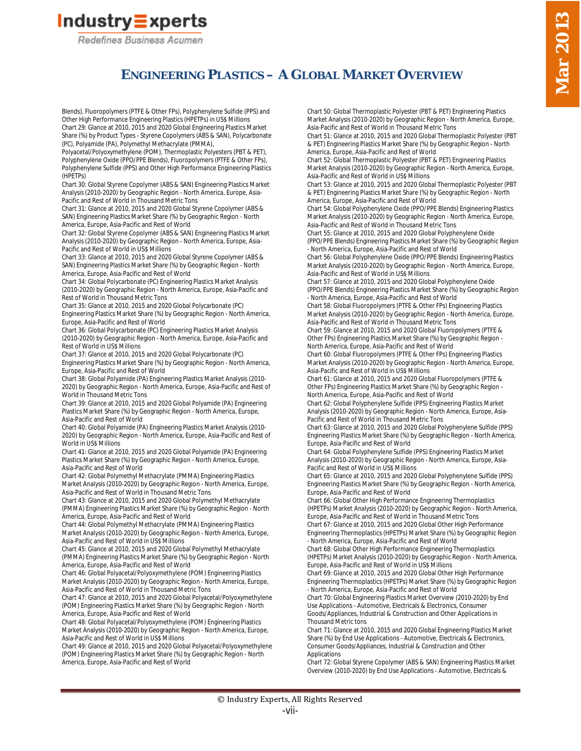Redefines Business Acumen

### **ENGINEERING PLASTICS – A GLOBAL MARKET OVERVIEW**

Blends), Fluoropolymers (PTFE & Other FPs), Polyphenylene Sulfide (PPS) and Other High Performance Engineering Plastics (HPETPs) in US\$ Millions Chart 29: Glance at 2010, 2015 and 2020 Global Engineering Plastics Market Share (%) by Product Types - Styrene Copolymers (ABS & SAN), Polycarbonate

(PC), Polyamide (PA), Polymethyl Methacrylate (PMMA), Polyacetal/Polyoxymethylene (POM), Thermoplastic Polyesters (PBT & PET), Polyphenylene Oxide (PPO/PPE Blends), Fluoropolymers (PTFE & Other FPs), Polyphenylene Sulfide (PPS) and Other High Performance Engineering Plastics (HPETPs)

Chart 30: Global Styrene Copolymer (ABS & SAN) Engineering Plastics Market Analysis (2010-2020) by Geographic Region - North America, Europe, Asia-Pacific and Rest of World in Thousand Metric Tons

Chart 31: Glance at 2010, 2015 and 2020 Global Styrene Copolymer (ABS & SAN) Engineering Plastics Market Share (%) by Geographic Region - North America, Europe, Asia-Pacific and Rest of World

Chart 32: Global Styrene Copolymer (ABS & SAN) Engineering Plastics Market Analysis (2010-2020) by Geographic Region - North America, Europe, Asia-Pacific and Rest of World in US\$ Millions

Chart 33: Glance at 2010, 2015 and 2020 Global Styrene Copolymer (ABS & SAN) Engineering Plastics Market Share (%) by Geographic Region - North America, Europe, Asia-Pacific and Rest of World

Chart 34: Global Polycarbonate (PC) Engineering Plastics Market Analysis (2010-2020) by Geographic Region - North America, Europe, Asia-Pacific and Rest of World in Thousand Metric Tons

Chart 35: Glance at 2010, 2015 and 2020 Global Polycarbonate (PC) Engineering Plastics Market Share (%) by Geographic Region - North America, Europe, Asia-Pacific and Rest of World

Chart 36: Global Polycarbonate (PC) Engineering Plastics Market Analysis (2010-2020) by Geographic Region - North America, Europe, Asia-Pacific and Rest of World in US\$ Millions

Chart 37: Glance at 2010, 2015 and 2020 Global Polycarbonate (PC) Engineering Plastics Market Share (%) by Geographic Region - North America, Europe, Asia-Pacific and Rest of World

Chart 38: Global Polyamide (PA) Engineering Plastics Market Analysis (2010- 2020) by Geographic Region - North America, Europe, Asia-Pacific and Rest of World in Thousand Metric Tons

Chart 39: Glance at 2010, 2015 and 2020 Global Polyamide (PA) Engineering Plastics Market Share (%) by Geographic Region - North America, Europe, Asia-Pacific and Rest of World

Chart 40: Global Polyamide (PA) Engineering Plastics Market Analysis (2010- 2020) by Geographic Region - North America, Europe, Asia-Pacific and Rest of World in US\$ Millions

Chart 41: Glance at 2010, 2015 and 2020 Global Polyamide (PA) Engineering Plastics Market Share (%) by Geographic Region - North America, Europe, Asia-Pacific and Rest of World

Chart 42: Global Polymethyl Methacrylate (PMMA) Engineering Plastics Market Analysis (2010-2020) by Geographic Region - North America, Europe, Asia-Pacific and Rest of World in Thousand Metric Tons

Chart 43: Glance at 2010, 2015 and 2020 Global Polymethyl Methacrylate (PMMA) Engineering Plastics Market Share (%) by Geographic Region - North America, Europe, Asia-Pacific and Rest of World

Chart 44: Global Polymethyl Methacrylate (PMMA) Engineering Plastics Market Analysis (2010-2020) by Geographic Region - North America, Europe, Asia-Pacific and Rest of World in US\$ Millions

Chart 45: Glance at 2010, 2015 and 2020 Global Polymethyl Methacrylate (PMMA) Engineering Plastics Market Share (%) by Geographic Region - North America, Europe, Asia-Pacific and Rest of World

Chart 46: Global Polyacetal/Polyoxymethylene (POM) Engineering Plastics Market Analysis (2010-2020) by Geographic Region - North America, Europe, Asia-Pacific and Rest of World in Thousand Metric Tons

Chart 47: Glance at 2010, 2015 and 2020 Global Polyacetal/Polyoxymethylene (POM) Engineering Plastics Market Share (%) by Geographic Region - North America, Europe, Asia-Pacific and Rest of World

Chart 48: Global Polyacetal/Polyoxymethylene (POM) Engineering Plastics Market Analysis (2010-2020) by Geographic Region - North America, Europe, Asia-Pacific and Rest of World in US\$ Millions

Chart 49: Glance at 2010, 2015 and 2020 Global Polyacetal/Polyoxymethylene (POM) Engineering Plastics Market Share (%) by Geographic Region - North America, Europe, Asia-Pacific and Rest of World

Chart 50: Global Thermoplastic Polyester (PBT & PET) Engineering Plastics Market Analysis (2010-2020) by Geographic Region - North America, Europe, Asia-Pacific and Rest of World in Thousand Metric Tons

Chart 51: Glance at 2010, 2015 and 2020 Global Thermoplastic Polyester (PBT & PET) Engineering Plastics Market Share (%) by Geographic Region - North America, Europe, Asia-Pacific and Rest of World

Chart 52: Global Thermoplastic Polyester (PBT & PET) Engineering Plastics Market Analysis (2010-2020) by Geographic Region - North America, Europe, Asia-Pacific and Rest of World in US\$ Millions

Chart 53: Glance at 2010, 2015 and 2020 Global Thermoplastic Polyester (PBT & PET) Engineering Plastics Market Share (%) by Geographic Region - North America, Europe, Asia-Pacific and Rest of World

Chart 54: Global Polyphenylene Oxide (PPO/PPE Blends) Engineering Plastics Market Analysis (2010-2020) by Geographic Region - North America, Europe, Asia-Pacific and Rest of World in Thousand Metric Tons

Chart 55: Glance at 2010, 2015 and 2020 Global Polyphenylene Oxide (PPO/PPE Blends) Engineering Plastics Market Share (%) by Geographic Region - North America, Europe, Asia-Pacific and Rest of World

Chart 56: Global Polyphenylene Oxide (PPO/PPE Blends) Engineering Plastics Market Analysis (2010-2020) by Geographic Region - North America, Europe, Asia-Pacific and Rest of World in US\$ Millions

Chart 57: Glance at 2010, 2015 and 2020 Global Polyphenylene Oxide (PPO/PPE Blends) Engineering Plastics Market Share (%) by Geographic Region - North America, Europe, Asia-Pacific and Rest of World

Chart 58: Global Fluoropolymers (PTFE & Other FPs) Engineering Plastics Market Analysis (2010-2020) by Geographic Region - North America, Europe, Asia-Pacific and Rest of World in Thousand Metric Tons

Chart 59: Glance at 2010, 2015 and 2020 Global Fluoropolymers (PTFE & Other FPs) Engineering Plastics Market Share (%) by Geographic Region - North America, Europe, Asia-Pacific and Rest of World

Chart 60: Global Fluoropolymers (PTFE & Other FPs) Engineering Plastics Market Analysis (2010-2020) by Geographic Region - North America, Europe, Asia-Pacific and Rest of World in US\$ Millions

Chart 61: Glance at 2010, 2015 and 2020 Global Fluoropolymers (PTFE & Other FPs) Engineering Plastics Market Share (%) by Geographic Region - North America, Europe, Asia-Pacific and Rest of World

Chart 62: Global Polyphenylene Sulfide (PPS) Engineering Plastics Market Analysis (2010-2020) by Geographic Region - North America, Europe, Asia-Pacific and Rest of World in Thousand Metric Tons

Chart 63: Glance at 2010, 2015 and 2020 Global Polyphenylene Sulfide (PPS) Engineering Plastics Market Share (%) by Geographic Region - North America, Europe, Asia-Pacific and Rest of World

Chart 64: Global Polyphenylene Sulfide (PPS) Engineering Plastics Market Analysis (2010-2020) by Geographic Region - North America, Europe, Asia-Pacific and Rest of World in US\$ Millions

Chart 65: Glance at 2010, 2015 and 2020 Global Polyphenylene Sulfide (PPS) Engineering Plastics Market Share (%) by Geographic Region - North America, Europe, Asia-Pacific and Rest of World

Chart 66: Global Other High Performance Engineering Thermoplastics (HPETPs) Market Analysis (2010-2020) by Geographic Region - North America, Europe, Asia-Pacific and Rest of World in Thousand Metric Tons

Chart 67: Glance at 2010, 2015 and 2020 Global Other High Performance Engineering Thermoplastics (HPETPs) Market Share (%) by Geographic Region - North America, Europe, Asia-Pacific and Rest of World

Chart 68: Global Other High Performance Engineering Thermoplastics (HPETPs) Market Analysis (2010-2020) by Geographic Region - North America, Europe, Asia-Pacific and Rest of World in US\$ Millions

Chart 69: Glance at 2010, 2015 and 2020 Global Other High Performance Engineering Thermoplastics (HPETPs) Market Share (%) by Geographic Region - North America, Europe, Asia-Pacific and Rest of World

Chart 70: Global Engineering Plastics Market Overview (2010-2020) by End Use Applications - Automotive, Electricals & Electronics, Consumer Goods/Appliances, Industrial & Construction and Other Applications in Thousand Metric tons

Chart 71: Glance at 2010, 2015 and 2020 Global Engineering Plastics Market Share (%) by End Use Applications - Automotive, Electricals & Electronics, Consumer Goods/Appliances, Industrial & Construction and Other **Applications** 

Chart 72: Global Styrene Copolymer (ABS & SAN) Engineering Plastics Market Overview (2010-2020) by End Use Applications - Automotive, Electricals &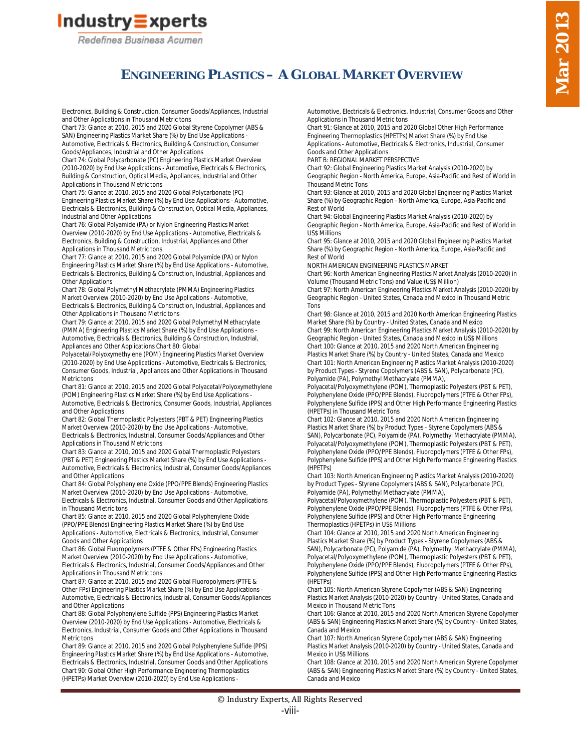Redefines Business Acumen

## **ENGINEERING PLASTICS – A GLOBAL MARKET OVERVIEW**

Electronics, Building & Construction, Consumer Goods/Appliances, Industrial and Other Applications in Thousand Metric tons

Chart 73: Glance at 2010, 2015 and 2020 Global Styrene Copolymer (ABS & SAN) Engineering Plastics Market Share (%) by End Use Applications -Automotive, Electricals & Electronics, Building & Construction, Consumer Goods/Appliances, Industrial and Other Applications

Chart 74: Global Polycarbonate (PC) Engineering Plastics Market Overview (2010-2020) by End Use Applications - Automotive, Electricals & Electronics, Building & Construction, Optical Media, Appliances, Industrial and Other Applications in Thousand Metric tons

Chart 75: Glance at 2010, 2015 and 2020 Global Polycarbonate (PC) Engineering Plastics Market Share (%) by End Use Applications - Automotive, Electricals & Electronics, Building & Construction, Optical Media, Appliances, Industrial and Other Applications

Chart 76: Global Polyamide (PA) or Nylon Engineering Plastics Market Overview (2010-2020) by End Use Applications - Automotive, Electricals & Electronics, Building & Construction, Industrial, Appliances and Other Applications in Thousand Metric tons

Chart 77: Glance at 2010, 2015 and 2020 Global Polyamide (PA) or Nylon Engineering Plastics Market Share (%) by End Use Applications - Automotive, Electricals & Electronics, Building & Construction, Industrial, Appliances and Other Applications

Chart 78: Global Polymethyl Methacrylate (PMMA) Engineering Plastics Market Overview (2010-2020) by End Use Applications - Automotive, Electricals & Electronics, Building & Construction, Industrial, Appliances and Other Applications in Thousand Metric tons

Chart 79: Glance at 2010, 2015 and 2020 Global Polymethyl Methacrylate (PMMA) Engineering Plastics Market Share (%) by End Use Applications - Automotive, Electricals & Electronics, Building & Construction, Industrial, Appliances and Other Applications Chart 80: Global

Polyacetal/Polyoxymethylene (POM) Engineering Plastics Market Overview (2010-2020) by End Use Applications - Automotive, Electricals & Electronics, Consumer Goods, Industrial, Appliances and Other Applications in Thousand Metric tons

Chart 81: Glance at 2010, 2015 and 2020 Global Polyacetal/Polyoxymethylene (POM) Engineering Plastics Market Share (%) by End Use Applications - Automotive, Electricals & Electronics, Consumer Goods, Industrial, Appliances and Other Applications

Chart 82: Global Thermoplastic Polyesters (PBT & PET) Engineering Plastics Market Overview (2010-2020) by End Use Applications - Automotive, Electricals & Electronics, Industrial, Consumer Goods/Appliances and Other Applications in Thousand Metric tons

Chart 83: Glance at 2010, 2015 and 2020 Global Thermoplastic Polyesters (PBT & PET) Engineering Plastics Market Share (%) by End Use Applications - Automotive, Electricals & Electronics, Industrial, Consumer Goods/Appliances and Other Applications

Chart 84: Global Polyphenylene Oxide (PPO/PPE Blends) Engineering Plastics Market Overview (2010-2020) by End Use Applications - Automotive, Electricals & Electronics, Industrial, Consumer Goods and Other Applications in Thousand Metric tons

Chart 85: Glance at 2010, 2015 and 2020 Global Polyphenylene Oxide (PPO/PPE Blends) Engineering Plastics Market Share (%) by End Use Applications - Automotive, Electricals & Electronics, Industrial, Consumer Goods and Other Applications

Chart 86: Global Fluoropolymers (PTFE & Other FPs) Engineering Plastics Market Overview (2010-2020) by End Use Applications - Automotive, Electricals & Electronics, Industrial, Consumer Goods/Appliances and Other Applications in Thousand Metric tons

Chart 87: Glance at 2010, 2015 and 2020 Global Fluoropolymers (PTFE & Other FPs) Engineering Plastics Market Share (%) by End Use Applications - Automotive, Electricals & Electronics, Industrial, Consumer Goods/Appliances and Other Applications

Chart 88: Global Polyphenylene Sulfide (PPS) Engineering Plastics Market Overview (2010-2020) by End Use Applications - Automotive, Electricals & Electronics, Industrial, Consumer Goods and Other Applications in Thousand Metric tons

Chart 89: Glance at 2010, 2015 and 2020 Global Polyphenylene Sulfide (PPS) Engineering Plastics Market Share (%) by End Use Applications - Automotive, Electricals & Electronics, Industrial, Consumer Goods and Other Applications Chart 90: Global Other High Performance Engineering Thermoplastics (HPETPs) Market Overview (2010-2020) by End Use Applications -

Automotive, Electricals & Electronics, Industrial, Consumer Goods and Other Applications in Thousand Metric tons

Chart 91: Glance at 2010, 2015 and 2020 Global Other High Performance Engineering Thermoplastics (HPETPs) Market Share (%) by End Use Applications - Automotive, Electricals & Electronics, Industrial, Consumer Goods and Other Applications

PART B: REGIONAL MARKET PERSPECTIVE

Chart 92: Global Engineering Plastics Market Analysis (2010-2020) by Geographic Region - North America, Europe, Asia-Pacific and Rest of World in Thousand Metric Tons

Chart 93: Glance at 2010, 2015 and 2020 Global Engineering Plastics Market Share (%) by Geographic Region - North America, Europe, Asia-Pacific and Rest of World

Chart 94: Global Engineering Plastics Market Analysis (2010-2020) by Geographic Region - North America, Europe, Asia-Pacific and Rest of World in US\$ Millions

Chart 95: Glance at 2010, 2015 and 2020 Global Engineering Plastics Market Share (%) by Geographic Region - North America, Europe, Asia-Pacific and Rest of World

NORTH AMERICAN ENGINEERING PLASTICS MARKET

Chart 96: North American Engineering Plastics Market Analysis (2010-2020) in Volume (Thousand Metric Tons) and Value (US\$ Million)

Chart 97: North American Engineering Plastics Market Analysis (2010-2020) by Geographic Region - United States, Canada and Mexico in Thousand Metric Tons

Chart 98: Glance at 2010, 2015 and 2020 North American Engineering Plastics Market Share (%) by Country - United States, Canada and Mexico

Chart 99: North American Engineering Plastics Market Analysis (2010-2020) by Geographic Region - United States, Canada and Mexico in US\$ Millions Chart 100: Glance at 2010, 2015 and 2020 North American Engineering Plastics Market Share (%) by Country - United States, Canada and Mexico Chart 101: North American Engineering Plastics Market Analysis (2010-2020) by Product Types - Styrene Copolymers (ABS & SAN), Polycarbonate (PC), Polyamide (PA), Polymethyl Methacrylate (PMMA),

Polyacetal/Polyoxymethylene (POM), Thermoplastic Polyesters (PBT & PET), Polyphenylene Oxide (PPO/PPE Blends), Fluoropolymers (PTFE & Other FPs), Polyphenylene Sulfide (PPS) and Other High Performance Engineering Plastics (HPETPs) in Thousand Metric Tons

Chart 102: Glance at 2010, 2015 and 2020 North American Engineering Plastics Market Share (%) by Product Types - Styrene Copolymers (ABS & SAN), Polycarbonate (PC), Polyamide (PA), Polymethyl Methacrylate (PMMA), Polyacetal/Polyoxymethylene (POM), Thermoplastic Polyesters (PBT & PET), Polyphenylene Oxide (PPO/PPE Blends), Fluoropolymers (PTFE & Other FPs), Polyphenylene Sulfide (PPS) and Other High Performance Engineering Plastics (HPETPs)

Chart 103: North American Engineering Plastics Market Analysis (2010-2020) by Product Types - Styrene Copolymers (ABS & SAN), Polycarbonate (PC), Polyamide (PA), Polymethyl Methacrylate (PMMA),

Polyacetal/Polyoxymethylene (POM), Thermoplastic Polyesters (PBT & PET), Polyphenylene Oxide (PPO/PPE Blends), Fluoropolymers (PTFE & Other FPs), Polyphenylene Sulfide (PPS) and Other High Performance Engineering Thermoplastics (HPETPs) in US\$ Millions

Chart 104: Glance at 2010, 2015 and 2020 North American Engineering Plastics Market Share (%) by Product Types - Styrene Copolymers (ABS & SAN), Polycarbonate (PC), Polyamide (PA), Polymethyl Methacrylate (PMMA), Polyacetal/Polyoxymethylene (POM), Thermoplastic Polyesters (PBT & PET), Polyphenylene Oxide (PPO/PPE Blends), Fluoropolymers (PTFE & Other FPs), Polyphenylene Sulfide (PPS) and Other High Performance Engineering Plastics (HPETPs)

Chart 105: North American Styrene Copolymer (ABS & SAN) Engineering Plastics Market Analysis (2010-2020) by Country - United States, Canada and Mexico in Thousand Metric Tons

Chart 106: Glance at 2010, 2015 and 2020 North American Styrene Copolymer (ABS & SAN) Engineering Plastics Market Share (%) by Country - United States, Canada and Mexico

Chart 107: North American Styrene Copolymer (ABS & SAN) Engineering Plastics Market Analysis (2010-2020) by Country - United States, Canada and Mexico in US\$ Millions

Chart 108: Glance at 2010, 2015 and 2020 North American Styrene Copolymer (ABS & SAN) Engineering Plastics Market Share (%) by Country - United States, Canada and Mexico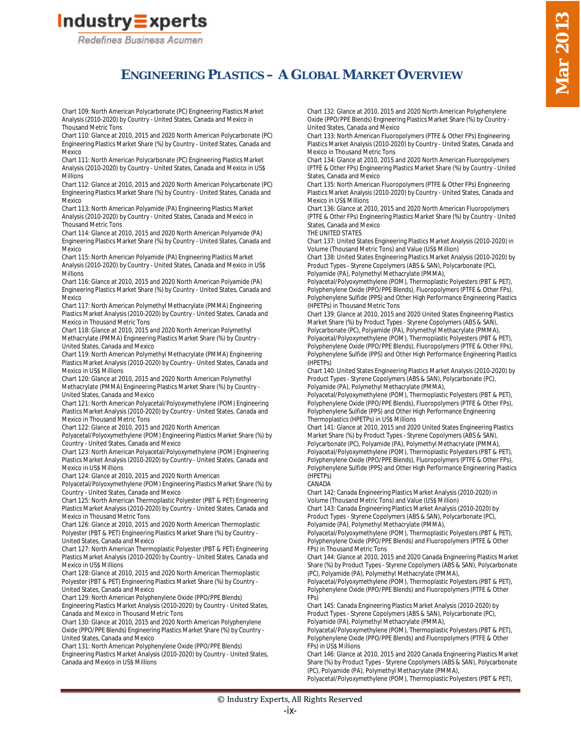Redefines Business Acumen

## **ENGINEERING PLASTICS – A GLOBAL MARKET OVERVIEW**

Chart 109: North American Polycarbonate (PC) Engineering Plastics Market Analysis (2010-2020) by Country - United States, Canada and Mexico in Thousand Metric Tons

Chart 110: Glance at 2010, 2015 and 2020 North American Polycarbonate (PC) Engineering Plastics Market Share (%) by Country - United States, Canada and Mexico

Chart 111: North American Polycarbonate (PC) Engineering Plastics Market Analysis (2010-2020) by Country - United States, Canada and Mexico in US\$ Millions

Chart 112: Glance at 2010, 2015 and 2020 North American Polycarbonate (PC) Engineering Plastics Market Share (%) by Country - United States, Canada and Mexico

Chart 113: North American Polyamide (PA) Engineering Plastics Market Analysis (2010-2020) by Country - United States, Canada and Mexico in Thousand Metric Tons

Chart 114: Glance at 2010, 2015 and 2020 North American Polyamide (PA) Engineering Plastics Market Share (%) by Country - United States, Canada and Mexico

Chart 115: North American Polyamide (PA) Engineering Plastics Market Analysis (2010-2020) by Country - United States, Canada and Mexico in US\$ Millions

Chart 116: Glance at 2010, 2015 and 2020 North American Polyamide (PA) Engineering Plastics Market Share (%) by Country - United States, Canada and Mexico

Chart 117: North American Polymethyl Methacrylate (PMMA) Engineering Plastics Market Analysis (2010-2020) by Country - United States, Canada and Mexico in Thousand Metric Tons

Chart 118: Glance at 2010, 2015 and 2020 North American Polymethyl Methacrylate (PMMA) Engineering Plastics Market Share (%) by Country - United States, Canada and Mexico

Chart 119: North American Polymethyl Methacrylate (PMMA) Engineering Plastics Market Analysis (2010-2020) by Country - United States, Canada and Mexico in US\$ Millions

Chart 120: Glance at 2010, 2015 and 2020 North American Polymethyl Methacrylate (PMMA) Engineering Plastics Market Share (%) by Country - United States, Canada and Mexico

Chart 121: North American Polyacetal/Polyoxymethylene (POM) Engineering Plastics Market Analysis (2010-2020) by Country - United States, Canada and Mexico in Thousand Metric Tons

Chart 122: Glance at 2010, 2015 and 2020 North American

Polyacetal/Polyoxymethylene (POM) Engineering Plastics Market Share (%) by Country - United States, Canada and Mexico

Chart 123: North American Polyacetal/Polyoxymethylene (POM) Engineering Plastics Market Analysis (2010-2020) by Country - United States, Canada and Mexico in US\$ Millions

Chart 124: Glance at 2010, 2015 and 2020 North American

Polyacetal/Polyoxymethylene (POM) Engineering Plastics Market Share (%) by Country - United States, Canada and Mexico

Chart 125: North American Thermoplastic Polyester (PBT & PET) Engineering Plastics Market Analysis (2010-2020) by Country - United States, Canada and Mexico in Thousand Metric Tons

Chart 126: Glance at 2010, 2015 and 2020 North American Thermoplastic Polyester (PBT & PET) Engineering Plastics Market Share (%) by Country -United States, Canada and Mexico

Chart 127: North American Thermoplastic Polyester (PBT & PET) Engineering Plastics Market Analysis (2010-2020) by Country - United States, Canada and Mexico in US\$ Millions

Chart 128: Glance at 2010, 2015 and 2020 North American Thermoplastic Polyester (PBT & PET) Engineering Plastics Market Share (%) by Country - United States, Canada and Mexico

Chart 129: North American Polyphenylene Oxide (PPO/PPE Blends) Engineering Plastics Market Analysis (2010-2020) by Country - United States, Canada and Mexico in Thousand Metric Tons

Chart 130: Glance at 2010, 2015 and 2020 North American Polyphenylene Oxide (PPO/PPE Blends) Engineering Plastics Market Share (%) by Country - United States, Canada and Mexico

Chart 131: North American Polyphenylene Oxide (PPO/PPE Blends)

Engineering Plastics Market Analysis (2010-2020) by Country - United States, Canada and Mexico in US\$ Millions

Chart 132: Glance at 2010, 2015 and 2020 North American Polyphenylene Oxide (PPO/PPE Blends) Engineering Plastics Market Share (%) by Country - United States, Canada and Mexico

Chart 133: North American Fluoropolymers (PTFE & Other FPs) Engineering Plastics Market Analysis (2010-2020) by Country - United States, Canada and Mexico in Thousand Metric Tons

Chart 134: Glance at 2010, 2015 and 2020 North American Fluoropolymers (PTFE & Other FPs) Engineering Plastics Market Share (%) by Country - United States, Canada and Mexico

Chart 135: North American Fluoropolymers (PTFE & Other FPs) Engineering Plastics Market Analysis (2010-2020) by Country - United States, Canada and Mexico in US\$ Millions

Chart 136: Glance at 2010, 2015 and 2020 North American Fluoropolymers (PTFE & Other FPs) Engineering Plastics Market Share (%) by Country - United States, Canada and Mexico

THE UNITED STATES

Chart 137: United States Engineering Plastics Market Analysis (2010-2020) in Volume (Thousand Metric Tons) and Value (US\$ Million)

Chart 138: United States Engineering Plastics Market Analysis (2010-2020) by Product Types - Styrene Copolymers (ABS & SAN), Polycarbonate (PC), Polyamide (PA), Polymethyl Methacrylate (PMMA),

Polyacetal/Polyoxymethylene (POM), Thermoplastic Polyesters (PBT & PET), Polyphenylene Oxide (PPO/PPE Blends), Fluoropolymers (PTFE & Other FPs), Polyphenylene Sulfide (PPS) and Other High Performance Engineering Plastics (HPETPs) in Thousand Metric Tons

Chart 139: Glance at 2010, 2015 and 2020 United States Engineering Plastics Market Share (%) by Product Types - Styrene Copolymers (ABS & SAN), Polycarbonate (PC), Polyamide (PA), Polymethyl Methacrylate (PMMA),

Polyacetal/Polyoxymethylene (POM), Thermoplastic Polyesters (PBT & PET), Polyphenylene Oxide (PPO/PPE Blends), Fluoropolymers (PTFE & Other FPs), Polyphenylene Sulfide (PPS) and Other High Performance Engineering Plastics (HPETPs)

Chart 140: United States Engineering Plastics Market Analysis (2010-2020) by Product Types - Styrene Copolymers (ABS & SAN), Polycarbonate (PC), Polyamide (PA), Polymethyl Methacrylate (PMMA),

Polyacetal/Polyoxymethylene (POM), Thermoplastic Polyesters (PBT & PET), Polyphenylene Oxide (PPO/PPE Blends), Fluoropolymers (PTFE & Other FPs), Polyphenylene Sulfide (PPS) and Other High Performance Engineering Thermoplastics (HPETPs) in US\$ Millions

Chart 141: Glance at 2010, 2015 and 2020 United States Engineering Plastics Market Share (%) by Product Types - Styrene Copolymers (ABS & SAN), Polycarbonate (PC), Polyamide (PA), Polymethyl Methacrylate (PMMA), Polyacetal/Polyoxymethylene (POM), Thermoplastic Polyesters (PBT & PET), Polyphenylene Oxide (PPO/PPE Blends), Fluoropolymers (PTFE & Other FPs), Polyphenylene Sulfide (PPS) and Other High Performance Engineering Plastics (HPETPs)

CANADA

Chart 142: Canada Engineering Plastics Market Analysis (2010-2020) in Volume (Thousand Metric Tons) and Value (US\$ Million)

Chart 143: Canada Engineering Plastics Market Analysis (2010-2020) by Product Types - Styrene Copolymers (ABS & SAN), Polycarbonate (PC), Polyamide (PA), Polymethyl Methacrylate (PMMA),

Polyacetal/Polyoxymethylene (POM), Thermoplastic Polyesters (PBT & PET), Polyphenylene Oxide (PPO/PPE Blends) and Fluoropolymers (PTFE & Other FPs) in Thousand Metric Tons

Chart 144: Glance at 2010, 2015 and 2020 Canada Engineering Plastics Market Share (%) by Product Types - Styrene Copolymers (ABS & SAN), Polycarbonate (PC), Polyamide (PA), Polymethyl Methacrylate (PMMA),

Polyacetal/Polyoxymethylene (POM), Thermoplastic Polyesters (PBT & PET), Polyphenylene Oxide (PPO/PPE Blends) and Fluoropolymers (PTFE & Other FPs)

Chart 145: Canada Engineering Plastics Market Analysis (2010-2020) by Product Types - Styrene Copolymers (ABS & SAN), Polycarbonate (PC), Polyamide (PA), Polymethyl Methacrylate (PMMA),

Polyacetal/Polyoxymethylene (POM), Thermoplastic Polyesters (PBT & PET), Polyphenylene Oxide (PPO/PPE Blends) and Fluoropolymers (PTFE & Other FPs) in US\$ Millions

Chart 146: Glance at 2010, 2015 and 2020 Canada Engineering Plastics Market Share (%) by Product Types - Styrene Copolymers (ABS & SAN), Polycarbonate (PC), Polyamide (PA), Polymethyl Methacrylate (PMMA),

Polyacetal/Polyoxymethylene (POM), Thermoplastic Polyesters (PBT & PET),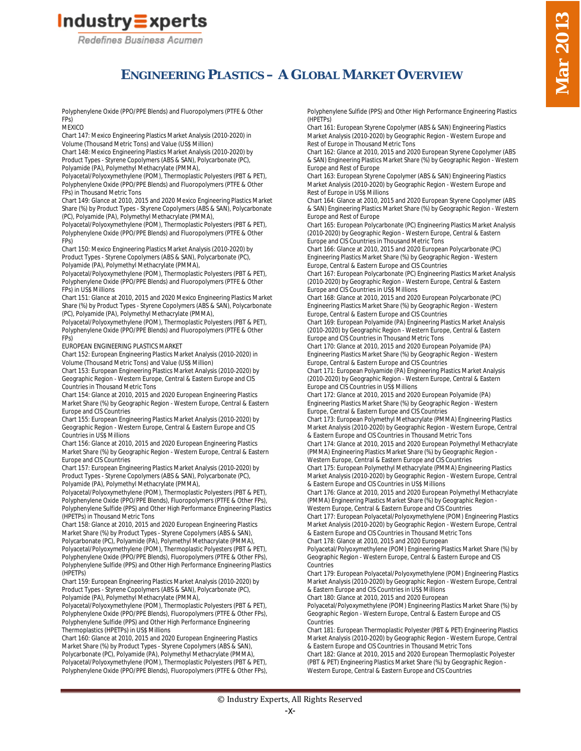Redefines Business Acumen

## **ENGINEERING PLASTICS – A GLOBAL MARKET OVERVIEW**

Polyphenylene Oxide (PPO/PPE Blends) and Fluoropolymers (PTFE & Other FPs)

MEXICO

Chart 147: Mexico Engineering Plastics Market Analysis (2010-2020) in Volume (Thousand Metric Tons) and Value (US\$ Million)

Chart 148: Mexico Engineering Plastics Market Analysis (2010-2020) by Product Types - Styrene Copolymers (ABS & SAN), Polycarbonate (PC),

Polyamide (PA), Polymethyl Methacrylate (PMMA),

Polyacetal/Polyoxymethylene (POM), Thermoplastic Polyesters (PBT & PET), Polyphenylene Oxide (PPO/PPE Blends) and Fluoropolymers (PTFE & Other FPs) in Thousand Metric Tons

Chart 149: Glance at 2010, 2015 and 2020 Mexico Engineering Plastics Market Share (%) by Product Types - Styrene Copolymers (ABS & SAN), Polycarbonate (PC), Polyamide (PA), Polymethyl Methacrylate (PMMA),

Polyacetal/Polyoxymethylene (POM), Thermoplastic Polyesters (PBT & PET), Polyphenylene Oxide (PPO/PPE Blends) and Fluoropolymers (PTFE & Other FPs)

Chart 150: Mexico Engineering Plastics Market Analysis (2010-2020) by Product Types - Styrene Copolymers (ABS & SAN), Polycarbonate (PC), Polyamide (PA), Polymethyl Methacrylate (PMMA),

Polyacetal/Polyoxymethylene (POM), Thermoplastic Polyesters (PBT & PET), Polyphenylene Oxide (PPO/PPE Blends) and Fluoropolymers (PTFE & Other FPs) in US\$ Millions

Chart 151: Glance at 2010, 2015 and 2020 Mexico Engineering Plastics Market Share (%) by Product Types - Styrene Copolymers (ABS & SAN), Polycarbonate (PC), Polyamide (PA), Polymethyl Methacrylate (PMMA),

Polyacetal/Polyoxymethylene (POM), Thermoplastic Polyesters (PBT & PET), Polyphenylene Oxide (PPO/PPE Blends) and Fluoropolymers (PTFE & Other FPs)

EUROPEAN ENGINEERING PLASTICS MARKET

Chart 152: European Engineering Plastics Market Analysis (2010-2020) in Volume (Thousand Metric Tons) and Value (US\$ Million)

Chart 153: European Engineering Plastics Market Analysis (2010-2020) by Geographic Region - Western Europe, Central & Eastern Europe and CIS Countries in Thousand Metric Tons

Chart 154: Glance at 2010, 2015 and 2020 European Engineering Plastics Market Share (%) by Geographic Region - Western Europe, Central & Eastern Europe and CIS Countries

Chart 155: European Engineering Plastics Market Analysis (2010-2020) by Geographic Region - Western Europe, Central & Eastern Europe and CIS Countries in US\$ Millions

Chart 156: Glance at 2010, 2015 and 2020 European Engineering Plastics Market Share (%) by Geographic Region - Western Europe, Central & Eastern Europe and CIS Countries

Chart 157: European Engineering Plastics Market Analysis (2010-2020) by Product Types - Styrene Copolymers (ABS & SAN), Polycarbonate (PC), Polyamide (PA), Polymethyl Methacrylate (PMMA),

Polyacetal/Polyoxymethylene (POM), Thermoplastic Polyesters (PBT & PET), Polyphenylene Oxide (PPO/PPE Blends), Fluoropolymers (PTFE & Other FPs), Polyphenylene Sulfide (PPS) and Other High Performance Engineering Plastics (HPETPs) in Thousand Metric Tons

Chart 158: Glance at 2010, 2015 and 2020 European Engineering Plastics Market Share (%) by Product Types - Styrene Copolymers (ABS & SAN), Polycarbonate (PC), Polyamide (PA), Polymethyl Methacrylate (PMMA), Polyacetal/Polyoxymethylene (POM), Thermoplastic Polyesters (PBT & PET), Polyphenylene Oxide (PPO/PPE Blends), Fluoropolymers (PTFE & Other FPs), Polyphenylene Sulfide (PPS) and Other High Performance Engineering Plastics (HPETPs)

Chart 159: European Engineering Plastics Market Analysis (2010-2020) by Product Types - Styrene Copolymers (ABS & SAN), Polycarbonate (PC), Polyamide (PA), Polymethyl Methacrylate (PMMA),

Polyacetal/Polyoxymethylene (POM), Thermoplastic Polyesters (PBT & PET), Polyphenylene Oxide (PPO/PPE Blends), Fluoropolymers (PTFE & Other FPs), Polyphenylene Sulfide (PPS) and Other High Performance Engineering Thermoplastics (HPETPs) in US\$ Millions

Chart 160: Glance at 2010, 2015 and 2020 European Engineering Plastics Market Share (%) by Product Types - Styrene Copolymers (ABS & SAN), Polycarbonate (PC), Polyamide (PA), Polymethyl Methacrylate (PMMA), Polyacetal/Polyoxymethylene (POM), Thermoplastic Polyesters (PBT & PET), Polyphenylene Oxide (PPO/PPE Blends), Fluoropolymers (PTFE & Other FPs), Polyphenylene Sulfide (PPS) and Other High Performance Engineering Plastics (HPETPs)

Chart 161: European Styrene Copolymer (ABS & SAN) Engineering Plastics Market Analysis (2010-2020) by Geographic Region - Western Europe and Rest of Europe in Thousand Metric Tons

Chart 162: Glance at 2010, 2015 and 2020 European Styrene Copolymer (ABS & SAN) Engineering Plastics Market Share (%) by Geographic Region - Western Europe and Rest of Europe

Chart 163: European Styrene Copolymer (ABS & SAN) Engineering Plastics Market Analysis (2010-2020) by Geographic Region - Western Europe and Rest of Europe in US\$ Millions

Chart 164: Glance at 2010, 2015 and 2020 European Styrene Copolymer (ABS & SAN) Engineering Plastics Market Share (%) by Geographic Region - Western Europe and Rest of Europe

Chart 165: European Polycarbonate (PC) Engineering Plastics Market Analysis (2010-2020) by Geographic Region - Western Europe, Central & Eastern Europe and CIS Countries in Thousand Metric Tons

Chart 166: Glance at 2010, 2015 and 2020 European Polycarbonate (PC) Engineering Plastics Market Share (%) by Geographic Region - Western Europe, Central & Eastern Europe and CIS Countries

Chart 167: European Polycarbonate (PC) Engineering Plastics Market Analysis (2010-2020) by Geographic Region - Western Europe, Central & Eastern Europe and CIS Countries in US\$ Millions

Chart 168: Glance at 2010, 2015 and 2020 European Polycarbonate (PC) Engineering Plastics Market Share (%) by Geographic Region - Western Europe, Central & Eastern Europe and CIS Countries

Chart 169: European Polyamide (PA) Engineering Plastics Market Analysis (2010-2020) by Geographic Region - Western Europe, Central & Eastern Europe and CIS Countries in Thousand Metric Tons

Chart 170: Glance at 2010, 2015 and 2020 European Polyamide (PA) Engineering Plastics Market Share (%) by Geographic Region - Western Europe, Central & Eastern Europe and CIS Countries

Chart 171: European Polyamide (PA) Engineering Plastics Market Analysis (2010-2020) by Geographic Region - Western Europe, Central & Eastern Europe and CIS Countries in US\$ Millions

Chart 172: Glance at 2010, 2015 and 2020 European Polyamide (PA) Engineering Plastics Market Share (%) by Geographic Region - Western Europe, Central & Eastern Europe and CIS Countries

Chart 173: European Polymethyl Methacrylate (PMMA) Engineering Plastics Market Analysis (2010-2020) by Geographic Region - Western Europe, Central & Eastern Europe and CIS Countries in Thousand Metric Tons

Chart 174: Glance at 2010, 2015 and 2020 European Polymethyl Methacrylate (PMMA) Engineering Plastics Market Share (%) by Geographic Region -

Western Europe, Central & Eastern Europe and CIS Countries Chart 175: European Polymethyl Methacrylate (PMMA) Engineering Plastics Market Analysis (2010-2020) by Geographic Region - Western Europe, Central & Eastern Europe and CIS Countries in US\$ Millions

Chart 176: Glance at 2010, 2015 and 2020 European Polymethyl Methacrylate (PMMA) Engineering Plastics Market Share (%) by Geographic Region - Western Europe, Central & Eastern Europe and CIS Countries

Chart 177: European Polyacetal/Polyoxymethylene (POM) Engineering Plastics Market Analysis (2010-2020) by Geographic Region - Western Europe, Central & Eastern Europe and CIS Countries in Thousand Metric Tons

Chart 178: Glance at 2010, 2015 and 2020 European

Polyacetal/Polyoxymethylene (POM) Engineering Plastics Market Share (%) by Geographic Region - Western Europe, Central & Eastern Europe and CIS Countries

Chart 179: European Polyacetal/Polyoxymethylene (POM) Engineering Plastics Market Analysis (2010-2020) by Geographic Region - Western Europe, Central & Eastern Europe and CIS Countries in US\$ Millions

Chart 180: Glance at 2010, 2015 and 2020 European

Polyacetal/Polyoxymethylene (POM) Engineering Plastics Market Share (%) by Geographic Region - Western Europe, Central & Eastern Europe and CIS Countries

Chart 181: European Thermoplastic Polyester (PBT & PET) Engineering Plastics Market Analysis (2010-2020) by Geographic Region - Western Europe, Central & Eastern Europe and CIS Countries in Thousand Metric Tons

Chart 182: Glance at 2010, 2015 and 2020 European Thermoplastic Polyester (PBT & PET) Engineering Plastics Market Share (%) by Geographic Region - Western Europe, Central & Eastern Europe and CIS Countries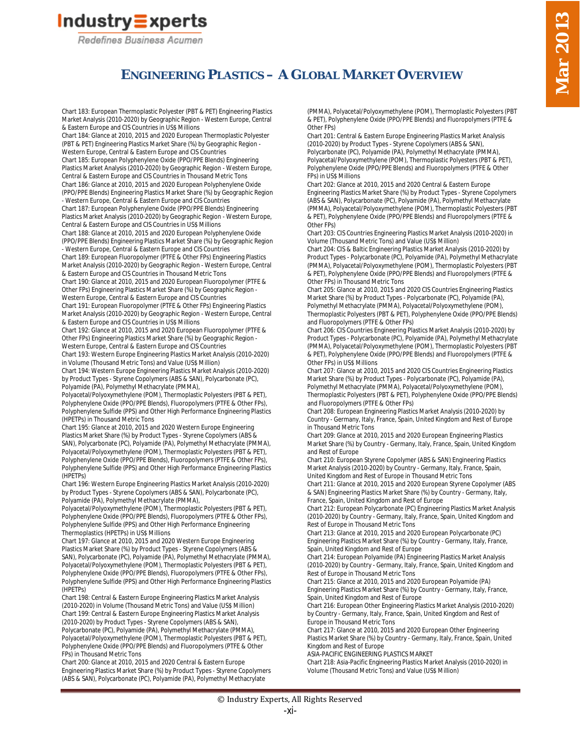Redefines Business Acumen

### **ENGINEERING PLASTICS – A GLOBAL MARKET OVERVIEW**

Chart 183: European Thermoplastic Polyester (PBT & PET) Engineering Plastics Market Analysis (2010-2020) by Geographic Region - Western Europe, Central & Eastern Europe and CIS Countries in US\$ Millions

Chart 184: Glance at 2010, 2015 and 2020 European Thermoplastic Polyester (PBT & PET) Engineering Plastics Market Share (%) by Geographic Region -

Western Europe, Central & Eastern Europe and CIS Countries Chart 185: European Polyphenylene Oxide (PPO/PPE Blends) Engineering Plastics Market Analysis (2010-2020) by Geographic Region - Western Europe, Central & Eastern Europe and CIS Countries in Thousand Metric Tons Chart 186: Glance at 2010, 2015 and 2020 European Polyphenylene Oxide

(PPO/PPE Blends) Engineering Plastics Market Share (%) by Geographic Region - Western Europe, Central & Eastern Europe and CIS Countries Chart 187: European Polyphenylene Oxide (PPO/PPE Blends) Engineering Plastics Market Analysis (2010-2020) by Geographic Region - Western Europe,

Central & Eastern Europe and CIS Countries in US\$ Millions Chart 188: Glance at 2010, 2015 and 2020 European Polyphenylene Oxide

(PPO/PPE Blends) Engineering Plastics Market Share (%) by Geographic Region - Western Europe, Central & Eastern Europe and CIS Countries

Chart 189: European Fluoropolymer (PTFE & Other FPs) Engineering Plastics Market Analysis (2010-2020) by Geographic Region - Western Europe, Central & Eastern Europe and CIS Countries in Thousand Metric Tons

Chart 190: Glance at 2010, 2015 and 2020 European Fluoropolymer (PTFE & Other FPs) Engineering Plastics Market Share (%) by Geographic Region - Western Europe, Central & Eastern Europe and CIS Countries

Chart 191: European Fluoropolymer (PTFE & Other FPs) Engineering Plastics Market Analysis (2010-2020) by Geographic Region - Western Europe, Central & Eastern Europe and CIS Countries in US\$ Millions

Chart 192: Glance at 2010, 2015 and 2020 European Fluoropolymer (PTFE & Other FPs) Engineering Plastics Market Share (%) by Geographic Region - Western Europe, Central & Eastern Europe and CIS Countries

Chart 193: Western Europe Engineering Plastics Market Analysis (2010-2020) in Volume (Thousand Metric Tons) and Value (US\$ Million)

Chart 194: Western Europe Engineering Plastics Market Analysis (2010-2020) by Product Types - Styrene Copolymers (ABS & SAN), Polycarbonate (PC), Polyamide (PA), Polymethyl Methacrylate (PMMA),

Polyacetal/Polyoxymethylene (POM), Thermoplastic Polyesters (PBT & PET), Polyphenylene Oxide (PPO/PPE Blends), Fluoropolymers (PTFE & Other FPs), Polyphenylene Sulfide (PPS) and Other High Performance Engineering Plastics (HPETPs) in Thousand Metric Tons

Chart 195: Glance at 2010, 2015 and 2020 Western Europe Engineering Plastics Market Share (%) by Product Types - Styrene Copolymers (ABS & SAN), Polycarbonate (PC), Polyamide (PA), Polymethyl Methacrylate (PMMA), Polyacetal/Polyoxymethylene (POM), Thermoplastic Polyesters (PBT & PET), Polyphenylene Oxide (PPO/PPE Blends), Fluoropolymers (PTFE & Other FPs), Polyphenylene Sulfide (PPS) and Other High Performance Engineering Plastics (HPETPs)

Chart 196: Western Europe Engineering Plastics Market Analysis (2010-2020) by Product Types - Styrene Copolymers (ABS & SAN), Polycarbonate (PC), Polyamide (PA), Polymethyl Methacrylate (PMMA),

Polyacetal/Polyoxymethylene (POM), Thermoplastic Polyesters (PBT & PET), Polyphenylene Oxide (PPO/PPE Blends), Fluoropolymers (PTFE & Other FPs), Polyphenylene Sulfide (PPS) and Other High Performance Engineering Thermoplastics (HPETPs) in US\$ Millions

Chart 197: Glance at 2010, 2015 and 2020 Western Europe Engineering Plastics Market Share (%) by Product Types - Styrene Copolymers (ABS & SAN), Polycarbonate (PC), Polyamide (PA), Polymethyl Methacrylate (PMMA), Polyacetal/Polyoxymethylene (POM), Thermoplastic Polyesters (PBT & PET), Polyphenylene Oxide (PPO/PPE Blends), Fluoropolymers (PTFE & Other FPs), Polyphenylene Sulfide (PPS) and Other High Performance Engineering Plastics (HPETPs)

Chart 198: Central & Eastern Europe Engineering Plastics Market Analysis (2010-2020) in Volume (Thousand Metric Tons) and Value (US\$ Million) Chart 199: Central & Eastern Europe Engineering Plastics Market Analysis (2010-2020) by Product Types - Styrene Copolymers (ABS & SAN), Polycarbonate (PC), Polyamide (PA), Polymethyl Methacrylate (PMMA), Polyacetal/Polyoxymethylene (POM), Thermoplastic Polyesters (PBT & PET), Polyphenylene Oxide (PPO/PPE Blends) and Fluoropolymers (PTFE & Other FPs) in Thousand Metric Tons

Chart 200: Glance at 2010, 2015 and 2020 Central & Eastern Europe Engineering Plastics Market Share (%) by Product Types - Styrene Copolymers (ABS & SAN), Polycarbonate (PC), Polyamide (PA), Polymethyl Methacrylate

(PMMA), Polyacetal/Polyoxymethylene (POM), Thermoplastic Polyesters (PBT & PET), Polyphenylene Oxide (PPO/PPE Blends) and Fluoropolymers (PTFE & Other FPs)

Chart 201: Central & Eastern Europe Engineering Plastics Market Analysis (2010-2020) by Product Types - Styrene Copolymers (ABS & SAN), Polycarbonate (PC), Polyamide (PA), Polymethyl Methacrylate (PMMA), Polyacetal/Polyoxymethylene (POM), Thermoplastic Polyesters (PBT & PET), Polyphenylene Oxide (PPO/PPE Blends) and Fluoropolymers (PTFE & Other FPs) in US\$ Millions

Chart 202: Glance at 2010, 2015 and 2020 Central & Eastern Europe Engineering Plastics Market Share (%) by Product Types - Styrene Copolymers (ABS & SAN), Polycarbonate (PC), Polyamide (PA), Polymethyl Methacrylate (PMMA), Polyacetal/Polyoxymethylene (POM), Thermoplastic Polyesters (PBT & PET), Polyphenylene Oxide (PPO/PPE Blends) and Fluoropolymers (PTFE & Other FPs)

Chart 203: CIS Countries Engineering Plastics Market Analysis (2010-2020) in Volume (Thousand Metric Tons) and Value (US\$ Million)

Chart 204: CIS & Baltic Engineering Plastics Market Analysis (2010-2020) by Product Types - Polycarbonate (PC), Polyamide (PA), Polymethyl Methacrylate (PMMA), Polyacetal/Polyoxymethylene (POM), Thermoplastic Polyesters (PBT & PET), Polyphenylene Oxide (PPO/PPE Blends) and Fluoropolymers (PTFE & Other FPs) in Thousand Metric Tons

Chart 205: Glance at 2010, 2015 and 2020 CIS Countries Engineering Plastics Market Share (%) by Product Types - Polycarbonate (PC), Polyamide (PA), Polymethyl Methacrylate (PMMA), Polyacetal/Polyoxymethylene (POM), Thermoplastic Polyesters (PBT & PET), Polyphenylene Oxide (PPO/PPE Blends) and Fluoropolymers (PTFE & Other FPs)

Chart 206: CIS Countries Engineering Plastics Market Analysis (2010-2020) by Product Types - Polycarbonate (PC), Polyamide (PA), Polymethyl Methacrylate (PMMA), Polyacetal/Polyoxymethylene (POM), Thermoplastic Polyesters (PBT & PET), Polyphenylene Oxide (PPO/PPE Blends) and Fluoropolymers (PTFE & Other FPs) in US\$ Millions

Chart 207: Glance at 2010, 2015 and 2020 CIS Countries Engineering Plastics Market Share (%) by Product Types - Polycarbonate (PC), Polyamide (PA), Polymethyl Methacrylate (PMMA), Polyacetal/Polyoxymethylene (POM), Thermoplastic Polyesters (PBT & PET), Polyphenylene Oxide (PPO/PPE Blends) and Fluoropolymers (PTFE & Other FPs)

Chart 208: European Engineering Plastics Market Analysis (2010-2020) by Country - Germany, Italy, France, Spain, United Kingdom and Rest of Europe in Thousand Metric Tons

Chart 209: Glance at 2010, 2015 and 2020 European Engineering Plastics Market Share (%) by Country - Germany, Italy, France, Spain, United Kingdom and Rest of Europe

Chart 210: European Styrene Copolymer (ABS & SAN) Engineering Plastics Market Analysis (2010-2020) by Country - Germany, Italy, France, Spain, United Kingdom and Rest of Europe in Thousand Metric Tons

Chart 211: Glance at 2010, 2015 and 2020 European Styrene Copolymer (ABS & SAN) Engineering Plastics Market Share (%) by Country - Germany, Italy, France, Spain, United Kingdom and Rest of Europe

Chart 212: European Polycarbonate (PC) Engineering Plastics Market Analysis (2010-2020) by Country - Germany, Italy, France, Spain, United Kingdom and Rest of Europe in Thousand Metric Tons

Chart 213: Glance at 2010, 2015 and 2020 European Polycarbonate (PC) Engineering Plastics Market Share (%) by Country - Germany, Italy, France, Spain, United Kingdom and Rest of Europe

Chart 214: European Polyamide (PA) Engineering Plastics Market Analysis (2010-2020) by Country - Germany, Italy, France, Spain, United Kingdom and Rest of Europe in Thousand Metric Tons

Chart 215: Glance at 2010, 2015 and 2020 European Polyamide (PA) Engineering Plastics Market Share (%) by Country - Germany, Italy, France, Spain, United Kingdom and Rest of Europe

Chart 216: European Other Engineering Plastics Market Analysis (2010-2020) by Country - Germany, Italy, France, Spain, United Kingdom and Rest of Europe in Thousand Metric Tons

Chart 217: Glance at 2010, 2015 and 2020 European Other Engineering Plastics Market Share (%) by Country - Germany, Italy, France, Spain, United Kingdom and Rest of Europe

ASIA-PACIFIC ENGINEERING PLASTICS MARKET

Chart 218: Asia-Pacific Engineering Plastics Market Analysis (2010-2020) in Volume (Thousand Metric Tons) and Value (US\$ Million)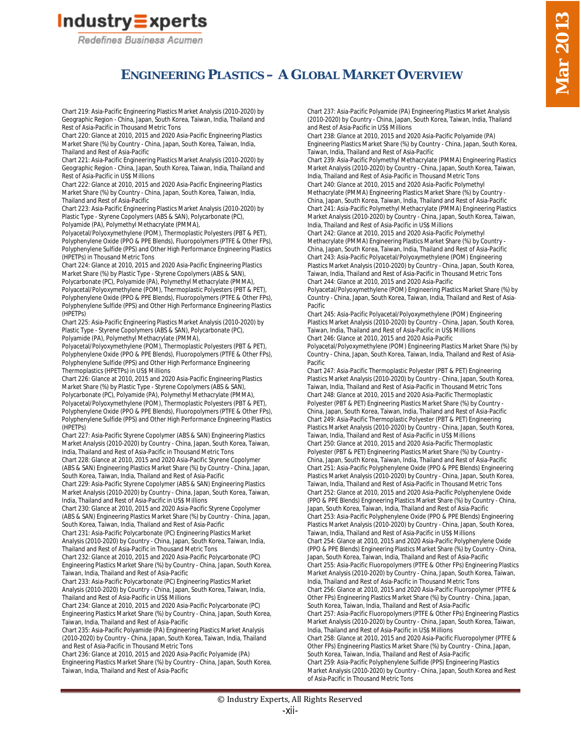Redefines Business Acumen

### **ENGINEERING PLASTICS – A GLOBAL MARKET OVERVIEW**

Chart 219: Asia-Pacific Engineering Plastics Market Analysis (2010-2020) by Geographic Region - China, Japan, South Korea, Taiwan, India, Thailand and Rest of Asia-Pacific in Thousand Metric Tons

Chart 220: Glance at 2010, 2015 and 2020 Asia-Pacific Engineering Plastics Market Share (%) by Country - China, Japan, South Korea, Taiwan, India, Thailand and Rest of Asia-Pacific

Chart 221: Asia-Pacific Engineering Plastics Market Analysis (2010-2020) by Geographic Region - China, Japan, South Korea, Taiwan, India, Thailand and Rest of Asia-Pacific in US\$ Millions

Chart 222: Glance at 2010, 2015 and 2020 Asia-Pacific Engineering Plastics Market Share (%) by Country - China, Japan, South Korea, Taiwan, India, Thailand and Rest of Asia-Pacific

Chart 223: Asia-Pacific Engineering Plastics Market Analysis (2010-2020) by Plastic Type - Styrene Copolymers (ABS & SAN), Polycarbonate (PC), Polyamide (PA), Polymethyl Methacrylate (PMMA),

Polyacetal/Polyoxymethylene (POM), Thermoplastic Polyesters (PBT & PET), Polyphenylene Oxide (PPO & PPE Blends), Fluoropolymers (PTFE & Other FPs), Polyphenylene Sulfide (PPS) and Other High Performance Engineering Plastics (HPETPs) in Thousand Metric Tons

Chart 224: Glance at 2010, 2015 and 2020 Asia-Pacific Engineering Plastics Market Share (%) by Plastic Type - Styrene Copolymers (ABS & SAN), Polycarbonate (PC), Polyamide (PA), Polymethyl Methacrylate (PMMA) Polyacetal/Polyoxymethylene (POM), Thermoplastic Polyesters (PBT & PET), Polyphenylene Oxide (PPO & PPE Blends), Fluoropolymers (PTFE & Other FPs), Polyphenylene Sulfide (PPS) and Other High Performance Engineering Plastics (HPETPs)

Chart 225: Asia-Pacific Engineering Plastics Market Analysis (2010-2020) by Plastic Type - Styrene Copolymers (ABS & SAN), Polycarbonate (PC), Polyamide (PA), Polymethyl Methacrylate (PMMA),

Polyacetal/Polyoxymethylene (POM), Thermoplastic Polyesters (PBT & PET), Polyphenylene Oxide (PPO & PPE Blends), Fluoropolymers (PTFE & Other FPs), Polyphenylene Sulfide (PPS) and Other High Performance Engineering Thermoplastics (HPETPs) in US\$ Millions

Chart 226: Glance at 2010, 2015 and 2020 Asia-Pacific Engineering Plastics Market Share (%) by Plastic Type - Styrene Copolymers (ABS & SAN), Polycarbonate (PC), Polyamide (PA), Polymethyl Methacrylate (PMMA), Polyacetal/Polyoxymethylene (POM), Thermoplastic Polyesters (PBT & PET), Polyphenylene Oxide (PPO & PPE Blends), Fluoropolymers (PTFE & Other FPs), Polyphenylene Sulfide (PPS) and Other High Performance Engineering Plastics (HPETPs)

Chart 227: Asia-Pacific Styrene Copolymer (ABS & SAN) Engineering Plastics Market Analysis (2010-2020) by Country - China, Japan, South Korea, Taiwan, India, Thailand and Rest of Asia-Pacific in Thousand Metric Tons Chart 228: Glance at 2010, 2015 and 2020 Asia-Pacific Styrene Copolymer (ABS & SAN) Engineering Plastics Market Share (%) by Country - China, Japan,

South Korea, Taiwan, India, Thailand and Rest of Asia-Pacific Chart 229: Asia-Pacific Styrene Copolymer (ABS & SAN) Engineering Plastics

Market Analysis (2010-2020) by Country - China, Japan, South Korea, Taiwan, India, Thailand and Rest of Asia-Pacific in US\$ Millions

Chart 230: Glance at 2010, 2015 and 2020 Asia-Pacific Styrene Copolymer (ABS & SAN) Engineering Plastics Market Share (%) by Country - China, Japan, South Korea, Taiwan, India, Thailand and Rest of Asia-Pacific

Chart 231: Asia-Pacific Polycarbonate (PC) Engineering Plastics Market Analysis (2010-2020) by Country - China, Japan, South Korea, Taiwan, India, Thailand and Rest of Asia-Pacific in Thousand Metric Tons

Chart 232: Glance at 2010, 2015 and 2020 Asia-Pacific Polycarbonate (PC) Engineering Plastics Market Share (%) by Country - China, Japan, South Korea, Taiwan, India, Thailand and Rest of Asia-Pacific

Chart 233: Asia-Pacific Polycarbonate (PC) Engineering Plastics Market Analysis (2010-2020) by Country - China, Japan, South Korea, Taiwan, India, Thailand and Rest of Asia-Pacific in US\$ Millions

Chart 234: Glance at 2010, 2015 and 2020 Asia-Pacific Polycarbonate (PC) Engineering Plastics Market Share (%) by Country - China, Japan, South Korea, Taiwan, India, Thailand and Rest of Asia-Pacific

Chart 235: Asia-Pacific Polyamide (PA) Engineering Plastics Market Analysis (2010-2020) by Country - China, Japan, South Korea, Taiwan, India, Thailand and Rest of Asia-Pacific in Thousand Metric Tons

Chart 236: Glance at 2010, 2015 and 2020 Asia-Pacific Polyamide (PA) Engineering Plastics Market Share (%) by Country - China, Japan, South Korea, Taiwan, India, Thailand and Rest of Asia-Pacific

Chart 237: Asia-Pacific Polyamide (PA) Engineering Plastics Market Analysis (2010-2020) by Country - China, Japan, South Korea, Taiwan, India, Thailand and Rest of Asia-Pacific in US\$ Millions

Chart 238: Glance at 2010, 2015 and 2020 Asia-Pacific Polyamide (PA) Engineering Plastics Market Share (%) by Country - China, Japan, South Korea, Taiwan, India, Thailand and Rest of Asia-Pacific

Chart 239: Asia-Pacific Polymethyl Methacrylate (PMMA) Engineering Plastics Market Analysis (2010-2020) by Country - China, Japan, South Korea, Taiwan, India, Thailand and Rest of Asia-Pacific in Thousand Metric Tons Chart 240: Glance at 2010, 2015 and 2020 Asia-Pacific Polymethyl Methacrylate (PMMA) Engineering Plastics Market Share (%) by Country -

China, Japan, South Korea, Taiwan, India, Thailand and Rest of Asia-Pacific Chart 241: Asia-Pacific Polymethyl Methacrylate (PMMA) Engineering Plastics Market Analysis (2010-2020) by Country - China, Japan, South Korea, Taiwan, India, Thailand and Rest of Asia-Pacific in US\$ Millions

Chart 242: Glance at 2010, 2015 and 2020 Asia-Pacific Polymethyl Methacrylate (PMMA) Engineering Plastics Market Share (%) by Country - China, Japan, South Korea, Taiwan, India, Thailand and Rest of Asia-Pacific Chart 243: Asia-Pacific Polyacetal/Polyoxymethylene (POM) Engineering Plastics Market Analysis (2010-2020) by Country - China, Japan, South Korea, Taiwan, India, Thailand and Rest of Asia-Pacific in Thousand Metric Tons Chart 244: Glance at 2010, 2015 and 2020 Asia-Pacific

Polyacetal/Polyoxymethylene (POM) Engineering Plastics Market Share (%) by Country - China, Japan, South Korea, Taiwan, India, Thailand and Rest of Asia-Pacific

Chart 245: Asia-Pacific Polyacetal/Polyoxymethylene (POM) Engineering Plastics Market Analysis (2010-2020) by Country - China, Japan, South Korea, Taiwan, India, Thailand and Rest of Asia-Pacific in US\$ Millions Chart 246: Glance at 2010, 2015 and 2020 Asia-Pacific

Polyacetal/Polyoxymethylene (POM) Engineering Plastics Market Share (%) by Country - China, Japan, South Korea, Taiwan, India, Thailand and Rest of Asia-Pacific

Chart 247: Asia-Pacific Thermoplastic Polyester (PBT & PET) Engineering Plastics Market Analysis (2010-2020) by Country - China, Japan, South Korea, Taiwan, India, Thailand and Rest of Asia-Pacific in Thousand Metric Tons Chart 248: Glance at 2010, 2015 and 2020 Asia-Pacific Thermoplastic Polyester (PBT & PET) Engineering Plastics Market Share (%) by Country -China, Japan, South Korea, Taiwan, India, Thailand and Rest of Asia-Pacific Chart 249: Asia-Pacific Thermoplastic Polyester (PBT & PET) Engineering Plastics Market Analysis (2010-2020) by Country - China, Japan, South Korea, Taiwan, India, Thailand and Rest of Asia-Pacific in US\$ Millions Chart 250: Glance at 2010, 2015 and 2020 Asia-Pacific Thermoplastic Polyester (PBT & PET) Engineering Plastics Market Share (%) by Country - China, Japan, South Korea, Taiwan, India, Thailand and Rest of Asia-Pacific Chart 251: Asia-Pacific Polyphenylene Oxide (PPO & PPE Blends) Engineering Plastics Market Analysis (2010-2020) by Country - China, Japan, South Korea, Taiwan, India, Thailand and Rest of Asia-Pacific in Thousand Metric Tons Chart 252: Glance at 2010, 2015 and 2020 Asia-Pacific Polyphenylene Oxide (PPO & PPE Blends) Engineering Plastics Market Share (%) by Country - China, Japan, South Korea, Taiwan, India, Thailand and Rest of Asia-Pacific Chart 253: Asia-Pacific Polyphenylene Oxide (PPO & PPE Blends) Engineering Plastics Market Analysis (2010-2020) by Country - China, Japan, South Korea, Taiwan, India, Thailand and Rest of Asia-Pacific in US\$ Millions Chart 254: Glance at 2010, 2015 and 2020 Asia-Pacific Polyphenylene Oxide (PPO & PPE Blends) Engineering Plastics Market Share (%) by Country - China, Japan, South Korea, Taiwan, India, Thailand and Rest of Asia-Pacific Chart 255: Asia-Pacific Fluoropolymers (PTFE & Other FPs) Engineering Plastics Market Analysis (2010-2020) by Country - China, Japan, South Korea, Taiwan, India, Thailand and Rest of Asia-Pacific in Thousand Metric Tons Chart 256: Glance at 2010, 2015 and 2020 Asia-Pacific Fluoropolymer (PTFE & Other FPs) Engineering Plastics Market Share (%) by Country - China, Japan, South Korea, Taiwan, India, Thailand and Rest of Asia-Pacific Chart 257: Asia-Pacific Fluoropolymers (PTFE & Other FPs) Engineering Plastics Market Analysis (2010-2020) by Country - China, Japan, South Korea, Taiwan, India, Thailand and Rest of Asia-Pacific in US\$ Millions Chart 258: Glance at 2010, 2015 and 2020 Asia-Pacific Fluoropolymer (PTFE & Other FPs) Engineering Plastics Market Share (%) by Country - China, Japan, South Korea, Taiwan, India, Thailand and Rest of Asia-Pacific Chart 259: Asia-Pacific Polyphenylene Sulfide (PPS) Engineering Plastics Market Analysis (2010-2020) by Country - China, Japan, South Korea and Rest of Asia-Pacific in Thousand Metric Tons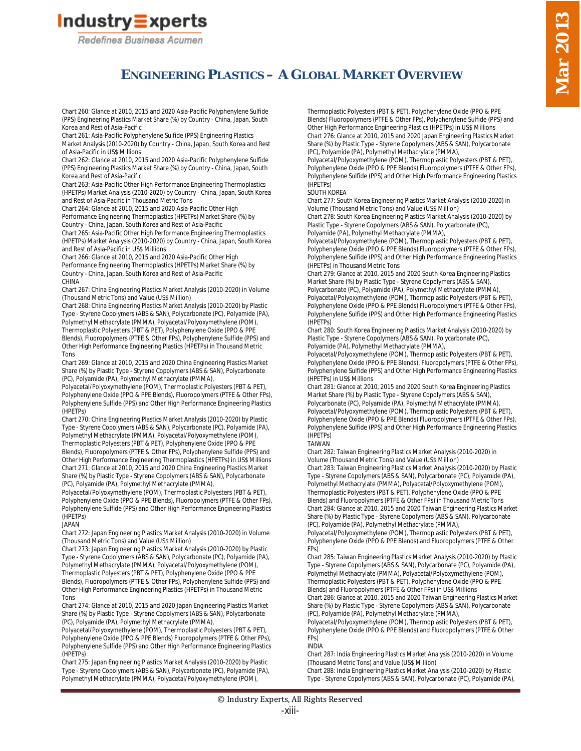Redefines Business Acumen

## **ENGINEERING PLASTICS – A GLOBAL MARKET OVERVIEW**

Chart 260: Glance at 2010, 2015 and 2020 Asia-Pacific Polyphenylene Sulfide (PPS) Engineering Plastics Market Share (%) by Country - China, Japan, South Korea and Rest of Asia-Pacific

Chart 261: Asia-Pacific Polyphenylene Sulfide (PPS) Engineering Plastics

Market Analysis (2010-2020) by Country - China, Japan, South Korea and Rest of Asia-Pacific in US\$ Millions

Chart 262: Glance at 2010, 2015 and 2020 Asia-Pacific Polyphenylene Sulfide (PPS) Engineering Plastics Market Share (%) by Country - China, Japan, South Korea and Rest of Asia-Pacific

Chart 263: Asia-Pacific Other High Performance Engineering Thermoplastics (HPETPs) Market Analysis (2010-2020) by Country - China, Japan, South Korea and Rest of Asia-Pacific in Thousand Metric Tons

Chart 264: Glance at 2010, 2015 and 2020 Asia-Pacific Other High Performance Engineering Thermoplastics (HPETPs) Market Share (%) by Country - China, Japan, South Korea and Rest of Asia-Pacific

Chart 265: Asia-Pacific Other High Performance Engineering Thermoplastics (HPETPs) Market Analysis (2010-2020) by Country - China, Japan, South Korea and Rest of Asia-Pacific in US\$ Millions

Chart 266: Glance at 2010, 2015 and 2020 Asia-Pacific Other High Performance Engineering Thermoplastics (HPETPs) Market Share (%) by Country - China, Japan, South Korea and Rest of Asia-Pacific **CHINA** 

Chart 267: China Engineering Plastics Market Analysis (2010-2020) in Volume (Thousand Metric Tons) and Value (US\$ Million)

Chart 268: China Engineering Plastics Market Analysis (2010-2020) by Plastic Type - Styrene Copolymers (ABS & SAN), Polycarbonate (PC), Polyamide (PA), Polymethyl Methacrylate (PMMA), Polyacetal/Polyoxymethylene (POM), Thermoplastic Polyesters (PBT & PET), Polyphenylene Oxide (PPO & PPE Blends), Fluoropolymers (PTFE & Other FPs), Polyphenylene Sulfide (PPS) and Other High Performance Engineering Plastics (HPETPs) in Thousand Metric Tons

Chart 269: Glance at 2010, 2015 and 2020 China Engineering Plastics Market Share (%) by Plastic Type - Styrene Copolymers (ABS & SAN), Polycarbonate (PC), Polyamide (PA), Polymethyl Methacrylate (PMMA),

Polyacetal/Polyoxymethylene (POM), Thermoplastic Polyesters (PBT & PET), Polyphenylene Oxide (PPO & PPE Blends), Fluoropolymers (PTFE & Other FPs), Polyphenylene Sulfide (PPS) and Other High Performance Engineering Plastics (HPETPs)

Chart 270: China Engineering Plastics Market Analysis (2010-2020) by Plastic Type - Styrene Copolymers (ABS & SAN), Polycarbonate (PC), Polyamide (PA), Polymethyl Methacrylate (PMMA), Polyacetal/Polyoxymethylene (POM), Thermoplastic Polyesters (PBT & PET), Polyphenylene Oxide (PPO & PPE Blends), Fluoropolymers (PTFE & Other FPs), Polyphenylene Sulfide (PPS) and Other High Performance Engineering Thermoplastics (HPETPs) in US\$ Millions Chart 271: Glance at 2010, 2015 and 2020 China Engineering Plastics Market Share (%) by Plastic Type - Styrene Copolymers (ABS & SAN), Polycarbonate (PC), Polyamide (PA), Polymethyl Methacrylate (PMMA),

Polyacetal/Polyoxymethylene (POM), Thermoplastic Polyesters (PBT & PET), Polyphenylene Oxide (PPO & PPE Blends), Fluoropolymers (PTFE & Other FPs), Polyphenylene Sulfide (PPS) and Other High Performance Engineering Plastics (HPETPs)

#### JAPAN

Chart 272: Japan Engineering Plastics Market Analysis (2010-2020) in Volume (Thousand Metric Tons) and Value (US\$ Million)

Chart 273: Japan Engineering Plastics Market Analysis (2010-2020) by Plastic Type - Styrene Copolymers (ABS & SAN), Polycarbonate (PC), Polyamide (PA), Polymethyl Methacrylate (PMMA), Polyacetal/Polyoxymethylene (POM), Thermoplastic Polyesters (PBT & PET), Polyphenylene Oxide (PPO & PPE Blends), Fluoropolymers (PTFE & Other FPs), Polyphenylene Sulfide (PPS) and Other High Performance Engineering Plastics (HPETPs) in Thousand Metric Tons

Chart 274: Glance at 2010, 2015 and 2020 Japan Engineering Plastics Market Share (%) by Plastic Type - Styrene Copolymers (ABS & SAN), Polycarbonate (PC), Polyamide (PA), Polymethyl Methacrylate (PMMA),

Polyacetal/Polyoxymethylene (POM), Thermoplastic Polyesters (PBT & PET), Polyphenylene Oxide (PPO & PPE Blends) Fluoropolymers (PTFE & Other FPs), Polyphenylene Sulfide (PPS) and Other High Performance Engineering Plastics (HPETPs)

Chart 275: Japan Engineering Plastics Market Analysis (2010-2020) by Plastic Type - Styrene Copolymers (ABS & SAN), Polycarbonate (PC), Polyamide (PA), Polymethyl Methacrylate (PMMA), Polyacetal/Polyoxymethylene (POM),

Thermoplastic Polyesters (PBT & PET), Polyphenylene Oxide (PPO & PPE Blends) Fluoropolymers (PTFE & Other FPs), Polyphenylene Sulfide (PPS) and Other High Performance Engineering Plastics (HPETPs) in US\$ Millions Chart 276: Glance at 2010, 2015 and 2020 Japan Engineering Plastics Market Share (%) by Plastic Type - Styrene Copolymers (ABS & SAN), Polycarbonate (PC), Polyamide (PA), Polymethyl Methacrylate (PMMA),

Polyacetal/Polyoxymethylene (POM), Thermoplastic Polyesters (PBT & PET), Polyphenylene Oxide (PPO & PPE Blends) Fluoropolymers (PTFE & Other FPs), Polyphenylene Sulfide (PPS) and Other High Performance Engineering Plastics (HPETPs)

#### SOUTH KOREA

Chart 277: South Korea Engineering Plastics Market Analysis (2010-2020) in Volume (Thousand Metric Tons) and Value (US\$ Million)

Chart 278: South Korea Engineering Plastics Market Analysis (2010-2020) by Plastic Type - Styrene Copolymers (ABS & SAN), Polycarbonate (PC), Polyamide (PA), Polymethyl Methacrylate (PMMA),

Polyacetal/Polyoxymethylene (POM), Thermoplastic Polyesters (PBT & PET), Polyphenylene Oxide (PPO & PPE Blends) Fluoropolymers (PTFE & Other FPs), Polyphenylene Sulfide (PPS) and Other High Performance Engineering Plastics (HPETPs) in Thousand Metric Tons

Chart 279: Glance at 2010, 2015 and 2020 South Korea Engineering Plastics Market Share (%) by Plastic Type - Styrene Copolymers (ABS & SAN), Polycarbonate (PC), Polyamide (PA), Polymethyl Methacrylate (PMMA), Polyacetal/Polyoxymethylene (POM), Thermoplastic Polyesters (PBT & PET), Polyphenylene Oxide (PPO & PPE Blends) Fluoropolymers (PTFE & Other FPs), Polyphenylene Sulfide (PPS) and Other High Performance Engineering Plastics (HPETPs)

Chart 280: South Korea Engineering Plastics Market Analysis (2010-2020) by Plastic Type - Styrene Copolymers (ABS & SAN), Polycarbonate (PC), Polyamide (PA), Polymethyl Methacrylate (PMMA),

Polyacetal/Polyoxymethylene (POM), Thermoplastic Polyesters (PBT & PET), Polyphenylene Oxide (PPO & PPE Blends), Fluoropolymers (PTFE & Other FPs), Polyphenylene Sulfide (PPS) and Other High Performance Engineering Plastics (HPETPs) in US\$ Millions

Chart 281: Glance at 2010, 2015 and 2020 South Korea Engineering Plastics Market Share (%) by Plastic Type - Styrene Copolymers (ABS & SAN), Polycarbonate (PC), Polyamide (PA), Polymethyl Methacrylate (PMMA), Polyacetal/Polyoxymethylene (POM), Thermoplastic Polyesters (PBT & PET), Polyphenylene Oxide (PPO & PPE Blends) Fluoropolymers (PTFE & Other FPs), Polyphenylene Sulfide (PPS) and Other High Performance Engineering Plastics (HPETPs)

#### TAIWAN

Chart 282: Taiwan Engineering Plastics Market Analysis (2010-2020) in Volume (Thousand Metric Tons) and Value (US\$ Million)

Chart 283: Taiwan Engineering Plastics Market Analysis (2010-2020) by Plastic Type - Styrene Copolymers (ABS & SAN), Polycarbonate (PC), Polyamide (PA), Polymethyl Methacrylate (PMMA), Polyacetal/Polyoxymethylene (POM), Thermoplastic Polyesters (PBT & PET), Polyphenylene Oxide (PPO & PPE Blends) and Fluoropolymers (PTFE & Other FPs) in Thousand Metric Tons Chart 284: Glance at 2010, 2015 and 2020 Taiwan Engineering Plastics Market Share (%) by Plastic Type - Styrene Copolymers (ABS & SAN), Polycarbonate (PC), Polyamide (PA), Polymethyl Methacrylate (PMMA),

Polyacetal/Polyoxymethylene (POM), Thermoplastic Polyesters (PBT & PET), Polyphenylene Oxide (PPO & PPE Blends) and Fluoropolymers (PTFE & Other FPs)

Chart 285: Taiwan Engineering Plastics Market Analysis (2010-2020) by Plastic Type - Styrene Copolymers (ABS & SAN), Polycarbonate (PC), Polyamide (PA), Polymethyl Methacrylate (PMMA), Polyacetal/Polyoxymethylene (POM), Thermoplastic Polyesters (PBT & PET), Polyphenylene Oxide (PPO & PPE Blends) and Fluoropolymers (PTFE & Other FPs) in US\$ Millions Chart 286: Glance at 2010, 2015 and 2020 Taiwan Engineering Plastics Market

Share (%) by Plastic Type - Styrene Copolymers (ABS & SAN), Polycarbonate (PC), Polyamide (PA), Polymethyl Methacrylate (PMMA),

Polyacetal/Polyoxymethylene (POM), Thermoplastic Polyesters (PBT & PET), Polyphenylene Oxide (PPO & PPE Blends) and Fluoropolymers (PTFE & Other FPs) INDIA

Chart 287: India Engineering Plastics Market Analysis (2010-2020) in Volume (Thousand Metric Tons) and Value (US\$ Million)

Chart 288: India Engineering Plastics Market Analysis (2010-2020) by Plastic Type - Styrene Copolymers (ABS & SAN), Polycarbonate (PC), Polyamide (PA),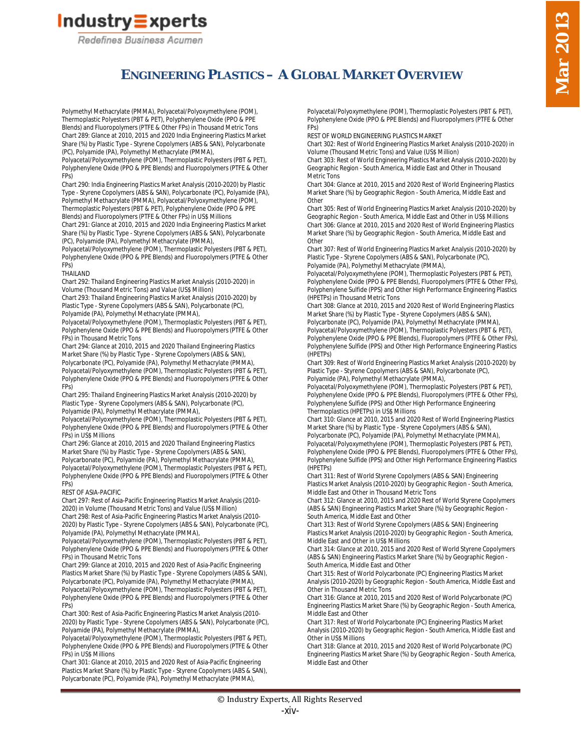Redefines Business Acumen

### **ENGINEERING PLASTICS – A GLOBAL MARKET OVERVIEW**

Polymethyl Methacrylate (PMMA), Polyacetal/Polyoxymethylene (POM), Thermoplastic Polyesters (PBT & PET), Polyphenylene Oxide (PPO & PPE Blends) and Fluoropolymers (PTFE & Other FPs) in Thousand Metric Tons Chart 289: Glance at 2010, 2015 and 2020 India Engineering Plastics Market Share (%) by Plastic Type - Styrene Copolymers (ABS & SAN), Polycarbonate (PC), Polyamide (PA), Polymethyl Methacrylate (PMMA),

Polyacetal/Polyoxymethylene (POM), Thermoplastic Polyesters (PBT & PET), Polyphenylene Oxide (PPO & PPE Blends) and Fluoropolymers (PTFE & Other FPs)

Chart 290: India Engineering Plastics Market Analysis (2010-2020) by Plastic Type - Styrene Copolymers (ABS & SAN), Polycarbonate (PC), Polyamide (PA), Polymethyl Methacrylate (PMMA), Polyacetal/Polyoxymethylene (POM), Thermoplastic Polyesters (PBT & PET), Polyphenylene Oxide (PPO & PPE Blends) and Fluoropolymers (PTFE & Other FPs) in US\$ Millions

Chart 291: Glance at 2010, 2015 and 2020 India Engineering Plastics Market Share (%) by Plastic Type - Styrene Copolymers (ABS & SAN), Polycarbonate (PC), Polyamide (PA), Polymethyl Methacrylate (PMMA),

Polyacetal/Polyoxymethylene (POM), Thermoplastic Polyesters (PBT & PET), Polyphenylene Oxide (PPO & PPE Blends) and Fluoropolymers (PTFE & Other FPs)

THAILAND

Chart 292: Thailand Engineering Plastics Market Analysis (2010-2020) in Volume (Thousand Metric Tons) and Value (US\$ Million)

Chart 293: Thailand Engineering Plastics Market Analysis (2010-2020) by Plastic Type - Styrene Copolymers (ABS & SAN), Polycarbonate (PC), Polyamide (PA), Polymethyl Methacrylate (PMMA),

Polyacetal/Polyoxymethylene (POM), Thermoplastic Polyesters (PBT & PET), Polyphenylene Oxide (PPO & PPE Blends) and Fluoropolymers (PTFE & Other FPs) in Thousand Metric Tons

Chart 294: Glance at 2010, 2015 and 2020 Thailand Engineering Plastics Market Share (%) by Plastic Type - Styrene Copolymers (ABS & SAN), Polycarbonate (PC), Polyamide (PA), Polymethyl Methacrylate (PMMA), Polyacetal/Polyoxymethylene (POM), Thermoplastic Polyesters (PBT & PET), Polyphenylene Oxide (PPO & PPE Blends) and Fluoropolymers (PTFE & Other FPs)

Chart 295: Thailand Engineering Plastics Market Analysis (2010-2020) by Plastic Type - Styrene Copolymers (ABS & SAN), Polycarbonate (PC), Polyamide (PA), Polymethyl Methacrylate (PMMA),

Polyacetal/Polyoxymethylene (POM), Thermoplastic Polyesters (PBT & PET), Polyphenylene Oxide (PPO & PPE Blends) and Fluoropolymers (PTFE & Other FPs) in US\$ Millions

Chart 296: Glance at 2010, 2015 and 2020 Thailand Engineering Plastics Market Share (%) by Plastic Type - Styrene Copolymers (ABS & SAN), Polycarbonate (PC), Polyamide (PA), Polymethyl Methacrylate (PMMA), Polyacetal/Polyoxymethylene (POM), Thermoplastic Polyesters (PBT & PET), Polyphenylene Oxide (PPO & PPE Blends) and Fluoropolymers (PTFE & Other FPs)

REST OF ASIA-PACIFIC

Chart 297: Rest of Asia-Pacific Engineering Plastics Market Analysis (2010- 2020) in Volume (Thousand Metric Tons) and Value (US\$ Million) Chart 298: Rest of Asia-Pacific Engineering Plastics Market Analysis (2010- 2020) by Plastic Type - Styrene Copolymers (ABS & SAN), Polycarbonate (PC), Polyamide (PA), Polymethyl Methacrylate (PMMA),

Polyacetal/Polyoxymethylene (POM), Thermoplastic Polyesters (PBT & PET), Polyphenylene Oxide (PPO & PPE Blends) and Fluoropolymers (PTFE & Other FPs) in Thousand Metric Tons

Chart 299: Glance at 2010, 2015 and 2020 Rest of Asia-Pacific Engineering Plastics Market Share (%) by Plastic Type - Styrene Copolymers (ABS & SAN), Polycarbonate (PC), Polyamide (PA), Polymethyl Methacrylate (PMMA), Polyacetal/Polyoxymethylene (POM), Thermoplastic Polyesters (PBT & PET), Polyphenylene Oxide (PPO & PPE Blends) and Fluoropolymers (PTFE & Other FPs)

Chart 300: Rest of Asia-Pacific Engineering Plastics Market Analysis (2010- 2020) by Plastic Type - Styrene Copolymers (ABS & SAN), Polycarbonate (PC), Polyamide (PA), Polymethyl Methacrylate (PMMA),

Polyacetal/Polyoxymethylene (POM), Thermoplastic Polyesters (PBT & PET), Polyphenylene Oxide (PPO & PPE Blends) and Fluoropolymers (PTFE & Other FPs) in US\$ Millions

Chart 301: Glance at 2010, 2015 and 2020 Rest of Asia-Pacific Engineering Plastics Market Share (%) by Plastic Type - Styrene Copolymers (ABS & SAN), Polycarbonate (PC), Polyamide (PA), Polymethyl Methacrylate (PMMA),

Polyacetal/Polyoxymethylene (POM), Thermoplastic Polyesters (PBT & PET), Polyphenylene Oxide (PPO & PPE Blends) and Fluoropolymers (PTFE & Other FPs)

REST OF WORLD ENGINEERING PLASTICS MARKET

Chart 302: Rest of World Engineering Plastics Market Analysis (2010-2020) in Volume (Thousand Metric Tons) and Value (US\$ Million)

Chart 303: Rest of World Engineering Plastics Market Analysis (2010-2020) by Geographic Region - South America, Middle East and Other in Thousand Metric Tons

Chart 304: Glance at 2010, 2015 and 2020 Rest of World Engineering Plastics Market Share (%) by Geographic Region - South America, Middle East and **Other** 

Chart 305: Rest of World Engineering Plastics Market Analysis (2010-2020) by Geographic Region - South America, Middle East and Other in US\$ Millions Chart 306: Glance at 2010, 2015 and 2020 Rest of World Engineering Plastics Market Share (%) by Geographic Region - South America, Middle East and Other

Chart 307: Rest of World Engineering Plastics Market Analysis (2010-2020) by Plastic Type - Styrene Copolymers (ABS & SAN), Polycarbonate (PC), Polyamide (PA), Polymethyl Methacrylate (PMMA),

Polyacetal/Polyoxymethylene (POM), Thermoplastic Polyesters (PBT & PET), Polyphenylene Oxide (PPO & PPE Blends), Fluoropolymers (PTFE & Other FPs), Polyphenylene Sulfide (PPS) and Other High Performance Engineering Plastics (HPETPs) in Thousand Metric Tons

Chart 308: Glance at 2010, 2015 and 2020 Rest of World Engineering Plastics Market Share (%) by Plastic Type - Styrene Copolymers (ABS & SAN), Polycarbonate (PC), Polyamide (PA), Polymethyl Methacrylate (PMMA), Polyacetal/Polyoxymethylene (POM), Thermoplastic Polyesters (PBT & PET), Polyphenylene Oxide (PPO & PPE Blends), Fluoropolymers (PTFE & Other FPs), Polyphenylene Sulfide (PPS) and Other High Performance Engineering Plastics (HPETPs)

Chart 309: Rest of World Engineering Plastics Market Analysis (2010-2020) by Plastic Type - Styrene Copolymers (ABS & SAN), Polycarbonate (PC), Polyamide (PA), Polymethyl Methacrylate (PMMA),

Polyacetal/Polyoxymethylene (POM), Thermoplastic Polyesters (PBT & PET), Polyphenylene Oxide (PPO & PPE Blends), Fluoropolymers (PTFE & Other FPs), Polyphenylene Sulfide (PPS) and Other High Performance Engineering Thermoplastics (HPETPs) in US\$ Millions

Chart 310: Glance at 2010, 2015 and 2020 Rest of World Engineering Plastics Market Share (%) by Plastic Type - Styrene Copolymers (ABS & SAN), Polycarbonate (PC), Polyamide (PA), Polymethyl Methacrylate (PMMA), Polyacetal/Polyoxymethylene (POM), Thermoplastic Polyesters (PBT & PET), Polyphenylene Oxide (PPO & PPE Blends), Fluoropolymers (PTFE & Other FPs), Polyphenylene Sulfide (PPS) and Other High Performance Engineering Plastics (HPETPs)

Chart 311: Rest of World Styrene Copolymers (ABS & SAN) Engineering Plastics Market Analysis (2010-2020) by Geographic Region - South America, Middle East and Other in Thousand Metric Tons

Chart 312: Glance at 2010, 2015 and 2020 Rest of World Styrene Copolymers (ABS & SAN) Engineering Plastics Market Share (%) by Geographic Region - South America, Middle East and Other

Chart 313: Rest of World Styrene Copolymers (ABS & SAN) Engineering Plastics Market Analysis (2010-2020) by Geographic Region - South America, Middle East and Other in US\$ Millions

Chart 314: Glance at 2010, 2015 and 2020 Rest of World Styrene Copolymers (ABS & SAN) Engineering Plastics Market Share (%) by Geographic Region - South America, Middle East and Other

Chart 315: Rest of World Polycarbonate (PC) Engineering Plastics Market Analysis (2010-2020) by Geographic Region - South America, Middle East and Other in Thousand Metric Tons

Chart 316: Glance at 2010, 2015 and 2020 Rest of World Polycarbonate (PC) Engineering Plastics Market Share (%) by Geographic Region - South America, Middle East and Other

Chart 317: Rest of World Polycarbonate (PC) Engineering Plastics Market Analysis (2010-2020) by Geographic Region - South America, Middle East and Other in US\$ Millions

Chart 318: Glance at 2010, 2015 and 2020 Rest of World Polycarbonate (PC) Engineering Plastics Market Share (%) by Geographic Region - South America, Middle East and Other